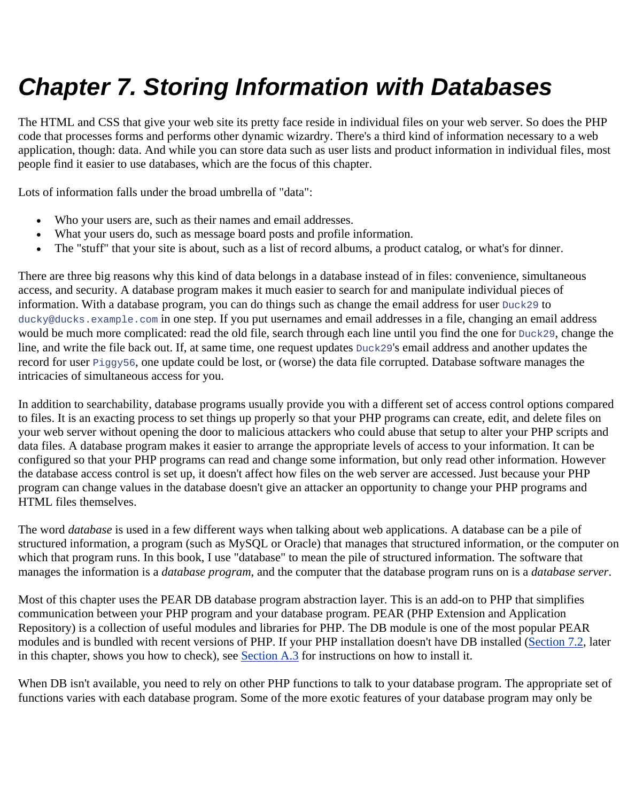# *Chapter 7. Storing Information with Databases*

The HTML and CSS that give your web site its pretty face reside in individual files on your web server. So does the PHP code that processes forms and performs other dynamic wizardry. There's a third kind of information necessary to a web application, though: data. And while you can store data such as user lists and product information in individual files, most people find it easier to use databases, which are the focus of this chapter.

Lots of information falls under the broad umbrella of "data":

- Who your users are, such as their names and email addresses.
- What your users do, such as message board posts and profile information.
- The "stuff" that your site is about, such as a list of record albums, a product catalog, or what's for dinner.

There are three big reasons why this kind of data belongs in a database instead of in files: convenience, simultaneous access, and security. A database program makes it much easier to search for and manipulate individual pieces of information. With a database program, you can do things such as change the email address for user Duck29 to ducky@ducks.example.com in one step. If you put usernames and email addresses in a file, changing an email address would be much more complicated: read the old file, search through each line until you find the one for Duck29, change the line, and write the file back out. If, at same time, one request updates Duck29's email address and another updates the record for user Piggy56, one update could be lost, or (worse) the data file corrupted. Database software manages the intricacies of simultaneous access for you.

In addition to searchability, database programs usually provide you with a different set of access control options compared to files. It is an exacting process to set things up properly so that your PHP programs can create, edit, and delete files on your web server without opening the door to malicious attackers who could abuse that setup to alter your PHP scripts and data files. A database program makes it easier to arrange the appropriate levels of access to your information. It can be configured so that your PHP programs can read and change some information, but only read other information. However the database access control is set up, it doesn't affect how files on the web server are accessed. Just because your PHP program can change values in the database doesn't give an attacker an opportunity to change your PHP programs and HTML files themselves.

The word *database* is used in a few different ways when talking about web applications. A database can be a pile of structured information, a program (such as MySQL or Oracle) that manages that structured information, or the computer on which that program runs. In this book, I use "database" to mean the pile of structured information. The software that manages the information is a *database program*, and the computer that the database program runs on is a *database server*.

Most of this chapter uses the PEAR DB database program abstraction layer. This is an add-on to PHP that simplifies communication between your PHP program and your database program. PEAR (PHP Extension and Application Repository) is a collection of useful modules and libraries for PHP. The DB module is one of the most popular PEAR modules and is bundled with recent versions of PHP. If your PHP installation doesn't have DB installed (Section 7.2, later in this chapter, shows you how to check), see Section A.3 for instructions on how to install it.

When DB isn't available, you need to rely on other PHP functions to talk to your database program. The appropriate set of functions varies with each database program. Some of the more exotic features of your database program may only be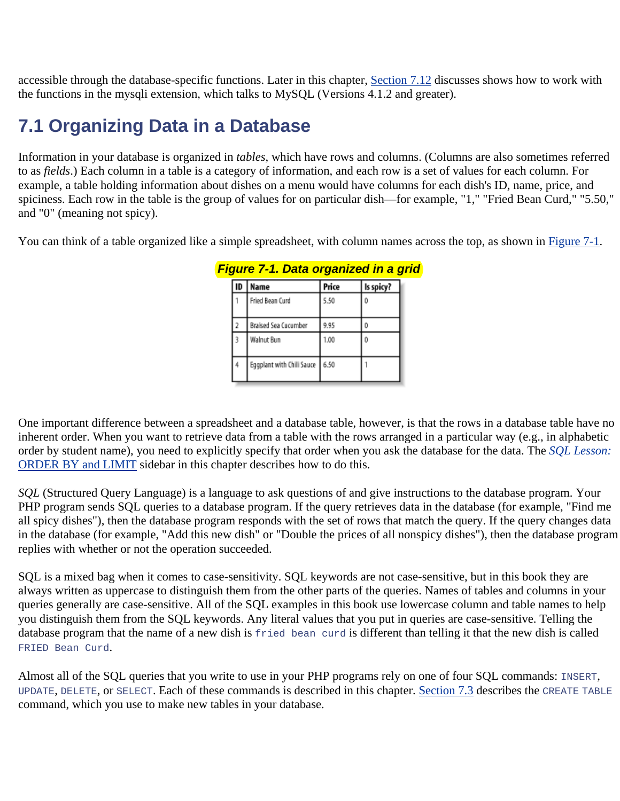accessible through the database-specific functions. Later in this chapter, Section 7.12 discusses shows how to work with the functions in the mysqli extension, which talks to MySQL (Versions 4.1.2 and greater).

# **7.1 Organizing Data in a Database**

Information in your database is organized in *tables*, which have rows and columns. (Columns are also sometimes referred to as *fields*.) Each column in a table is a category of information, and each row is a set of values for each column. For example, a table holding information about dishes on a menu would have columns for each dish's ID, name, price, and spiciness. Each row in the table is the group of values for on particular dish—for example, "1," "Fried Bean Curd," "5.50," and "0" (meaning not spicy).

You can think of a table organized like a simple spreadsheet, with column names across the top, as shown in Figure 7-1.

| <u>iyar<del>c</del> r-r. Data vryamzed in a y</u> |                           |       |           |  |
|---------------------------------------------------|---------------------------|-------|-----------|--|
| ID                                                | Name                      | Price | Is spicy? |  |
|                                                   | Fried Bean Curd           | 5.50  |           |  |
|                                                   | Braised Sea Cucumber      | 9.95  |           |  |
| ş                                                 | Walnut Bun                | 1.00  | Ũ         |  |
|                                                   | Eggplant with Chili Sauce | 6.50  |           |  |

# *Figure 7-1. Data organized in a grid*

One important difference between a spreadsheet and a database table, however, is that the rows in a database table have no inherent order. When you want to retrieve data from a table with the rows arranged in a particular way (e.g., in alphabetic order by student name), you need to explicitly specify that order when you ask the database for the data. The *SQL Lesson:* ORDER BY and LIMIT sidebar in this chapter describes how to do this.

*SQL* (Structured Query Language) is a language to ask questions of and give instructions to the database program. Your PHP program sends SQL queries to a database program. If the query retrieves data in the database (for example, "Find me all spicy dishes"), then the database program responds with the set of rows that match the query. If the query changes data in the database (for example, "Add this new dish" or "Double the prices of all nonspicy dishes"), then the database program replies with whether or not the operation succeeded.

SQL is a mixed bag when it comes to case-sensitivity. SQL keywords are not case-sensitive, but in this book they are always written as uppercase to distinguish them from the other parts of the queries. Names of tables and columns in your queries generally are case-sensitive. All of the SQL examples in this book use lowercase column and table names to help you distinguish them from the SQL keywords. Any literal values that you put in queries are case-sensitive. Telling the database program that the name of a new dish is fried bean curd is different than telling it that the new dish is called FRIED Bean Curd.

Almost all of the SQL queries that you write to use in your PHP programs rely on one of four SQL commands: INSERT, UPDATE, DELETE, or SELECT. Each of these commands is described in this chapter. Section 7.3 describes the CREATE TABLE command, which you use to make new tables in your database.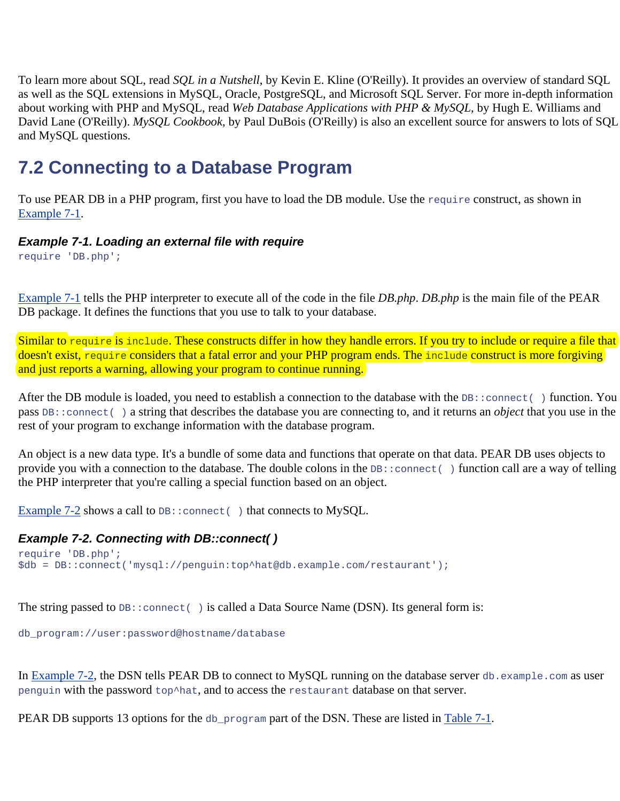To learn more about SQL, read *SQL in a Nutshell*, by Kevin E. Kline (O'Reilly). It provides an overview of standard SQL as well as the SQL extensions in MySQL, Oracle, PostgreSQL, and Microsoft SQL Server. For more in-depth information about working with PHP and MySQL, read *Web Database Applications with PHP & MySQL*, by Hugh E. Williams and David Lane (O'Reilly). *MySQL Cookbook*, by Paul DuBois (O'Reilly) is also an excellent source for answers to lots of SQL and MySQL questions.

# **7.2 Connecting to a Database Program**

To use PEAR DB in a PHP program, first you have to load the DB module. Use the require construct, as shown in Example 7-1.

## *Example 7-1. Loading an external file with require*

require 'DB.php';

Example 7-1 tells the PHP interpreter to execute all of the code in the file *DB.php*. *DB.php* is the main file of the PEAR DB package. It defines the functions that you use to talk to your database.

Similar to require is include. These constructs differ in how they handle errors. If you try to include or require a file that doesn't exist, require considers that a fatal error and your PHP program ends. The include construct is more forgiving and just reports a warning, allowing your program to continue running.

After the DB module is loaded, you need to establish a connection to the database with the DB:: connect() function. You pass DB::connect( ) a string that describes the database you are connecting to, and it returns an *object* that you use in the rest of your program to exchange information with the database program.

An object is a new data type. It's a bundle of some data and functions that operate on that data. PEAR DB uses objects to provide you with a connection to the database. The double colons in the DB:: connect() function call are a way of telling the PHP interpreter that you're calling a special function based on an object.

Example 7-2 shows a call to  $DB::connect( )$  that connects to MySQL.

## *Example 7-2. Connecting with DB::connect( )*

```
require 'DB.php'; 
$db = DB::connect('mysql://penguin:top^hat@db.example.com/restaurant');
```
The string passed to  $DB: :connect()$  is called a Data Source Name (DSN). Its general form is:

db\_program://user:password@hostname/database

In Example 7-2, the DSN tells PEAR DB to connect to MySQL running on the database server db.example.com as user penguin with the password top^hat, and to access the restaurant database on that server.

PEAR DB supports 13 options for the db program part of the DSN. These are listed in Table 7-1.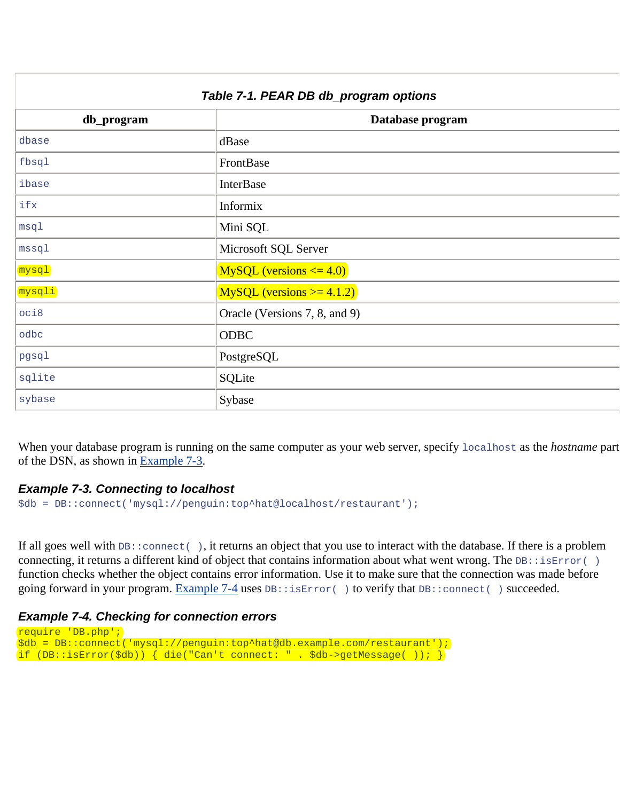| Table 7-1. PEAR DB db_program options |                               |  |  |  |  |
|---------------------------------------|-------------------------------|--|--|--|--|
| db_program                            | Database program              |  |  |  |  |
| dbase                                 | dBase                         |  |  |  |  |
| fbsql                                 | FrontBase                     |  |  |  |  |
| ibase                                 | <b>InterBase</b>              |  |  |  |  |
| ifx                                   | Informix                      |  |  |  |  |
| msql                                  | Mini SQL                      |  |  |  |  |
| mssql                                 | Microsoft SQL Server          |  |  |  |  |
| mysql                                 | $MySQL$ (versions $\leq$ 4.0) |  |  |  |  |
| mysqli                                | $MySQL$ (versions >= 4.1.2)   |  |  |  |  |
| oci8                                  | Oracle (Versions 7, 8, and 9) |  |  |  |  |
| odbc                                  | <b>ODBC</b>                   |  |  |  |  |
| pgsql                                 | PostgreSQL                    |  |  |  |  |
| sqlite                                | SQLite                        |  |  |  |  |
| sybase                                | Sybase                        |  |  |  |  |

When your database program is running on the same computer as your web server, specify localhost as the *hostname* part of the DSN, as shown in Example 7-3.

### *Example 7-3. Connecting to localhost*

```
$db = DB::connect('mysql://penguin:top^hat@localhost/restaurant');
```
If all goes well with  $DB::connect( )$ , it returns an object that you use to interact with the database. If there is a problem connecting, it returns a different kind of object that contains information about what went wrong. The DB::isError() function checks whether the object contains error information. Use it to make sure that the connection was made before going forward in your program. Example 7-4 uses DB::isError() to verify that DB::connect() succeeded.

### *Example 7-4. Checking for connection errors*

```
require 'DB.php'; 
$db = DB::connect('mysql://penguin:top^hat@db.example.com/restaurant'); 
if (DB::isError($db)) { die("Can't connect: " . $db->getMessage( )); }
```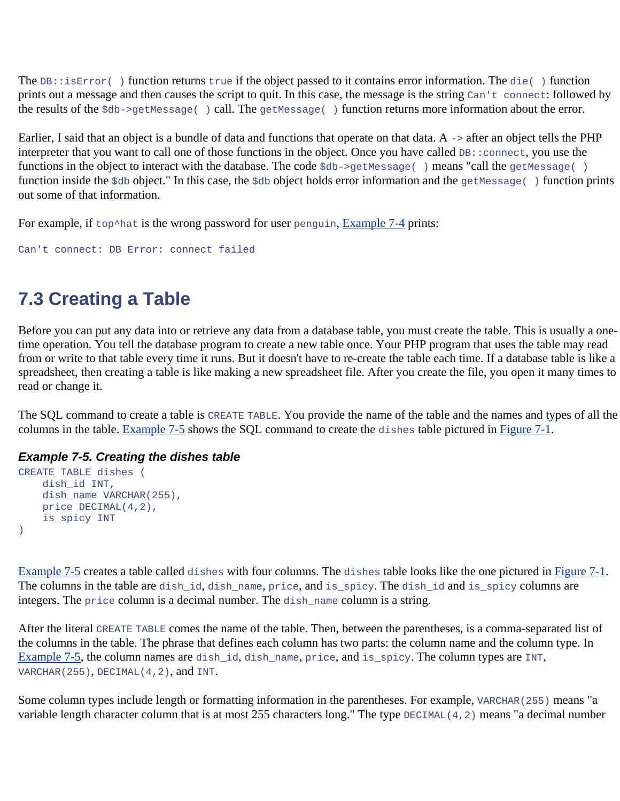The  $DB::\text{isError}($ ) function returns true if the object passed to it contains error information. The die() function prints out a message and then causes the script to quit. In this case, the message is the string Can't connect: followed by the results of the \$db->getMessage( ) call. The getMessage( ) function returns more information about the error.

Earlier, I said that an object is a bundle of data and functions that operate on that data. A -> after an object tells the PHP interpreter that you want to call one of those functions in the object. Once you have called DB:: connect, you use the functions in the object to interact with the database. The code  $\dagger$ db->getMessage() means "call the getMessage() function inside the \$db object." In this case, the \$db object holds error information and the getMessage() function prints out some of that information.

For example, if  $top$ <sup>A</sup>hat is the wrong password for user penguin, Example 7-4 prints:

```
Can't connect: DB Error: connect failed
```
# **7.3 Creating a Table**

Before you can put any data into or retrieve any data from a database table, you must create the table. This is usually a onetime operation. You tell the database program to create a new table once. Your PHP program that uses the table may read from or write to that table every time it runs. But it doesn't have to re-create the table each time. If a database table is like a spreadsheet, then creating a table is like making a new spreadsheet file. After you create the file, you open it many times to read or change it.

The SQL command to create a table is CREATE TABLE. You provide the name of the table and the names and types of all the columns in the table. Example 7-5 shows the SQL command to create the dishes table pictured in Figure 7-1.

## *Example 7-5. Creating the dishes table*

```
CREATE TABLE dishes ( 
     dish_id INT, 
     dish_name VARCHAR(255), 
     price DECIMAL(4,2), 
     is_spicy INT 
\left( \right)
```
Example 7-5 creates a table called dishes with four columns. The dishes table looks like the one pictured in Figure 7-1. The columns in the table are dish\_id, dish\_name, price, and is\_spicy. The dish\_id and is\_spicy columns are integers. The price column is a decimal number. The dish\_name column is a string.

After the literal CREATE TABLE comes the name of the table. Then, between the parentheses, is a comma-separated list of the columns in the table. The phrase that defines each column has two parts: the column name and the column type. In Example 7-5, the column names are dish\_id, dish\_name, price, and is\_spicy. The column types are INT, VARCHAR(255), DECIMAL(4,2), and INT.

Some column types include length or formatting information in the parentheses. For example, VARCHAR(255) means "a variable length character column that is at most 255 characters long." The type DECIMAL(4,2) means "a decimal number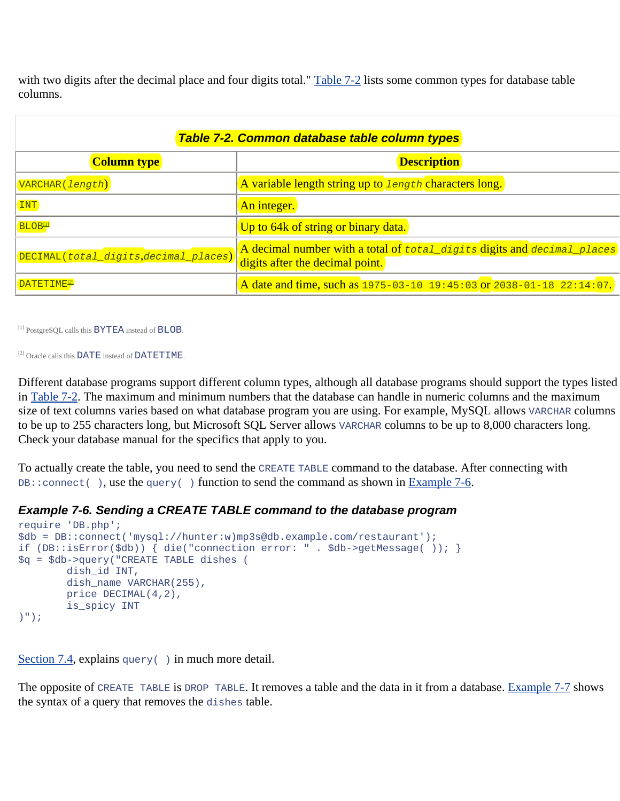with two digits after the decimal place and four digits total." Table 7-2 lists some common types for database table columns.

| Table 7-2. Common database table column types |                                                                                                            |  |  |  |  |
|-----------------------------------------------|------------------------------------------------------------------------------------------------------------|--|--|--|--|
| <b>Column type</b>                            | <b>Description</b>                                                                                         |  |  |  |  |
| VARCHAR (length)                              | A variable length string up to length characters long.                                                     |  |  |  |  |
| <b>INT</b>                                    | An integer.                                                                                                |  |  |  |  |
| <b>BLOB</b> <sup>III</sup>                    | Up to 64k of string or binary data.                                                                        |  |  |  |  |
| DECIMAL(total_digits,decimal_places)          | A decimal number with a total of total_digits digits and decimal_places<br>digits after the decimal point. |  |  |  |  |
| DATETIME <sup>12</sup>                        | A date and time, such as 1975-03-10 19:45:03 or 2038-01-18 22:14:07.                                       |  |  |  |  |

[1] PostgreSQL calls this BYTEA instead of BLOB.

<sup>[2]</sup> Oracle calls this DATE instead of DATETIME.

Different database programs support different column types, although all database programs should support the types listed in Table 7-2. The maximum and minimum numbers that the database can handle in numeric columns and the maximum size of text columns varies based on what database program you are using. For example, MySQL allows VARCHAR columns to be up to 255 characters long, but Microsoft SQL Server allows VARCHAR columns to be up to 8,000 characters long. Check your database manual for the specifics that apply to you.

To actually create the table, you need to send the CREATE TABLE command to the database. After connecting with  $DE: \text{connect}(\cdot)$ , use the query() function to send the command as shown in Example 7-6.

### *Example 7-6. Sending a CREATE TABLE command to the database program*

```
require 'DB.php'; 
$db = DB::connect('mysql://hunter:w)mp3s@db.example.com/restaurant'); 
if (DB::isError($db)) { die("connection error: " . $db->getMessage( )); } 
$q = $db->query("CREATE TABLE dishes ( 
         dish_id INT, 
        dish name VARCHAR(255),
         price DECIMAL(4,2), 
         is_spicy INT 
)");
```
Section 7.4, explains  $query( )$  in much more detail.

The opposite of CREATE TABLE IS DROP TABLE. It removes a table and the data in it from a database. Example 7-7 shows the syntax of a query that removes the dishes table.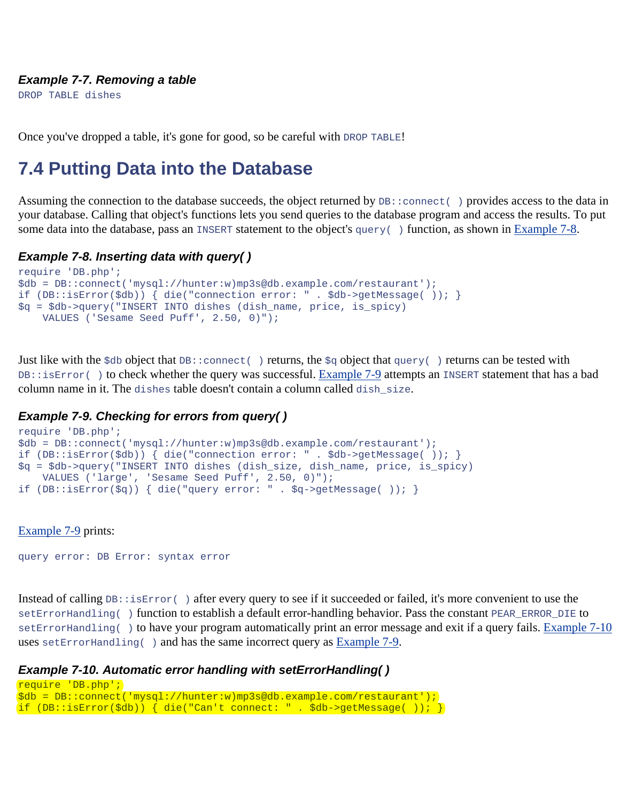#### *Example 7-7. Removing a table*

DROP TABLE dishes

Once you've dropped a table, it's gone for good, so be careful with DROP TABLE!

# **7.4 Putting Data into the Database**

Assuming the connection to the database succeeds, the object returned by  $DB: :connect( )$  provides access to the data in your database. Calling that object's functions lets you send queries to the database program and access the results. To put some data into the database, pass an INSERT statement to the object's query() function, as shown in Example 7-8.

#### *Example 7-8. Inserting data with query( )*

```
require 'DB.php'; 
$db = DB::connect('mysql://hunter:w)mp3s@db.example.com/restaurant'); 
if (DB::isError($db)) { die("connection error: " . $db->getMessage( )); } 
$q = $db->query("INSERT INTO dishes (dish_name, price, is_spicy) 
    VALUES ('Sesame Seed Puff', 2.50, 0)");
```
Just like with the  $$db$  object that  $DB::connect( )$  returns, the  $$q$  object that  $query( )$  returns can be tested with DB::isError( ) to check whether the query was successful. Example 7-9 attempts an INSERT statement that has a bad column name in it. The dishes table doesn't contain a column called dish\_size.

#### *Example 7-9. Checking for errors from query( )*

```
require 'DB.php'; 
$db = DB::connect('mysql://hunter:w)mp3s@db.example.com/restaurant'); 
if (DB::isError($db)) { die("connection error: " . $db->getMessage( )); } 
$q = $db->query("INSERT INTO dishes (dish_size, dish_name, price, is_spicy) 
    VALUES ('large', 'Sesame Seed Puff', 2.50, 0)"); 
if (DB::isError($q)) { die("query error: " . $q->getMessage( )); }
```
#### Example 7-9 prints:

query error: DB Error: syntax error

Instead of calling  $DB: i_{BETOT}$  after every query to see if it succeeded or failed, it's more convenient to use the  $setErrorHandling()$  function to establish a default error-handling behavior. Pass the constant PEAR\_ERROR\_DIE to setErrorHandling( ) to have your program automatically print an error message and exit if a query fails. Example 7-10 uses setErrorHandling() and has the same incorrect query as Example 7-9.

#### *Example 7-10. Automatic error handling with setErrorHandling( )*

```
require 'DB.php'; 
$db = DB::connect('mysql://hunter:w)mp3s@db.example.com/restaurant'); 
if (DB::isError($db)) { die("Can't connect: " . $db->getMessage( )); }
```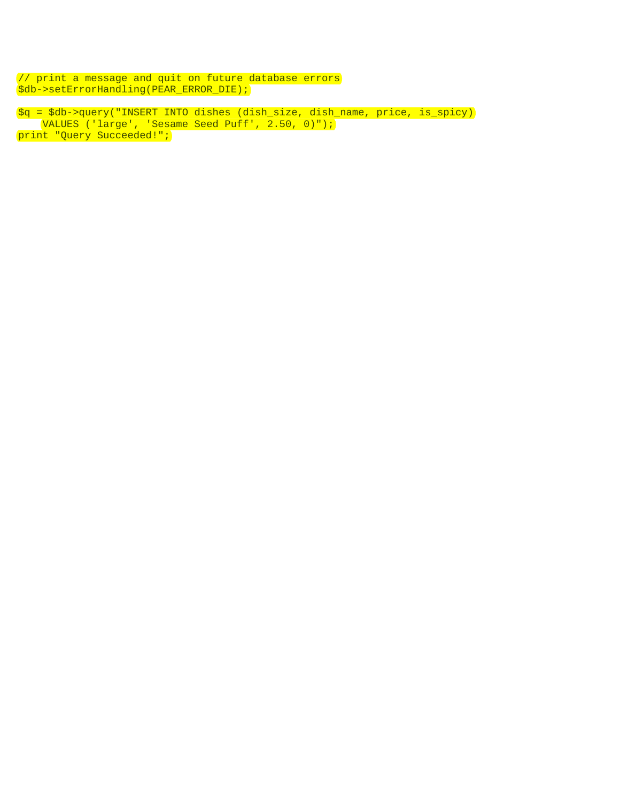// print a message and quit on future database errors \$db->setErrorHandling(PEAR\_ERROR\_DIE);

\$q = \$db->query("INSERT INTO dishes (dish\_size, dish\_name, price, is\_spicy) VALUES ('large', 'Sesame Seed Puff', 2.50, 0)"); print "Query Succeeded!";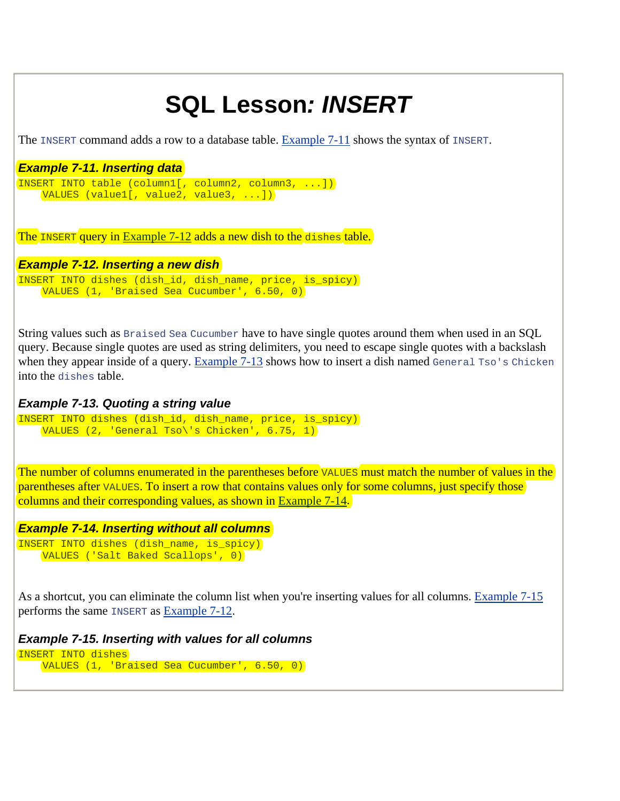# **SQL Lesson***: INSERT*

The INSERT command adds a row to a database table. Example 7-11 shows the syntax of INSERT.

*Example 7-11. Inserting data*  INSERT INTO table (column1[, column2, column3, ...]) VALUES (value1[, value2, value3, ...])

The **INSERT** query in **Example 7-12** adds a new dish to the dishes table.

*Example 7-12. Inserting a new dish* 

```
INSERT INTO dishes (dish_id, dish_name, price, is_spicy) 
    VALUES (1, 'Braised Sea Cucumber', 6.50, 0)
```
String values such as Braised Sea Cucumber have to have single quotes around them when used in an SQL query. Because single quotes are used as string delimiters, you need to escape single quotes with a backslash when they appear inside of a query. Example 7-13 shows how to insert a dish named General Tso's Chicken into the dishes table.

#### *Example 7-13. Quoting a string value*

```
INSERT INTO dishes (dish_id, dish_name, price, is_spicy) 
    VALUES (2, 'General Tso\'s Chicken', 6.75, 1)
```
The number of columns enumerated in the parentheses before VALUES must match the number of values in the parentheses after VALUES. To insert a row that contains values only for some columns, just specify those columns and their corresponding values, as shown in Example 7-14.

```
Example 7-14. Inserting without all columns 
INSERT INTO dishes (dish_name, is_spicy) 
    VALUES ('Salt Baked Scallops', 0)
```
As a shortcut, you can eliminate the column list when you're inserting values for all columns. Example 7-15 performs the same INSERT as Example 7-12.

*Example 7-15. Inserting with values for all columns* 

INSERT INTO dishes VALUES (1, 'Braised Sea Cucumber', 6.50, 0)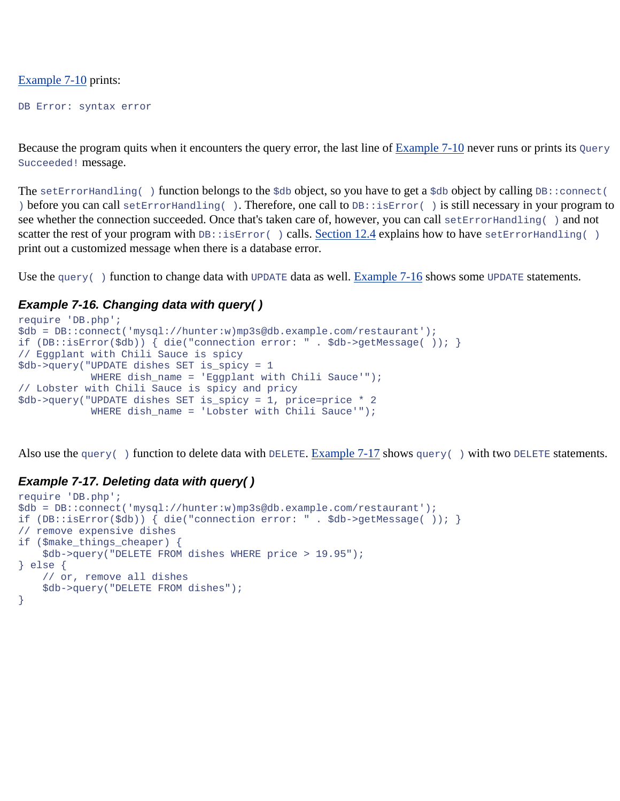Example 7-10 prints:

DB Error: syntax error

Because the program quits when it encounters the query error, the last line of Example 7-10 never runs or prints its  $\varrho_{\text{uery}}$ Succeeded! message.

The setErrorHandling() function belongs to the \$db object, so you have to get a \$db object by calling DB:: connect( ) before you can call setErrorHandling( ). Therefore, one call to DB::isError( ) is still necessary in your program to see whether the connection succeeded. Once that's taken care of, however, you can call setErrorHandling() and not scatter the rest of your program with  $DB::i$ sError() calls. Section 12.4 explains how to have setErrorHandling() print out a customized message when there is a database error.

Use the query() function to change data with UPDATE data as well. Example 7-16 shows some UPDATE statements.

### *Example 7-16. Changing data with query( )*

```
require 'DB.php'; 
$db = DB::connect('mysql://hunter:w)mp3s@db.example.com/restaurant'); 
if (DB::isError($db)) { die("connection error: " . $db->getMessage( )); } 
// Eggplant with Chili Sauce is spicy 
$db->query("UPDATE dishes SET is_spicy = 1 
           WHERE dish_name = 'Eggplant with Chili Sauce'");
// Lobster with Chili Sauce is spicy and pricy 
$db->query("UPDATE dishes SET is_spicy = 1, price=price * 2 
            WHERE dish name = 'Lobster with Chili Sauce'");
```
Also use the query() function to delete data with DELETE. Example 7-17 shows query() with two DELETE statements.

## *Example 7-17. Deleting data with query( )*

```
require 'DB.php'; 
$db = DB::connect('mysql://hunter:w)mp3s@db.example.com/restaurant'); 
if (DB::isError($db)) { die("connection error: " . $db->getMessage( )); } 
// remove expensive dishes 
if ($make_things_cheaper) { 
    $db->query("DELETE FROM dishes WHERE price > 19.95"); 
} else { 
     // or, remove all dishes 
     $db->query("DELETE FROM dishes"); 
}
```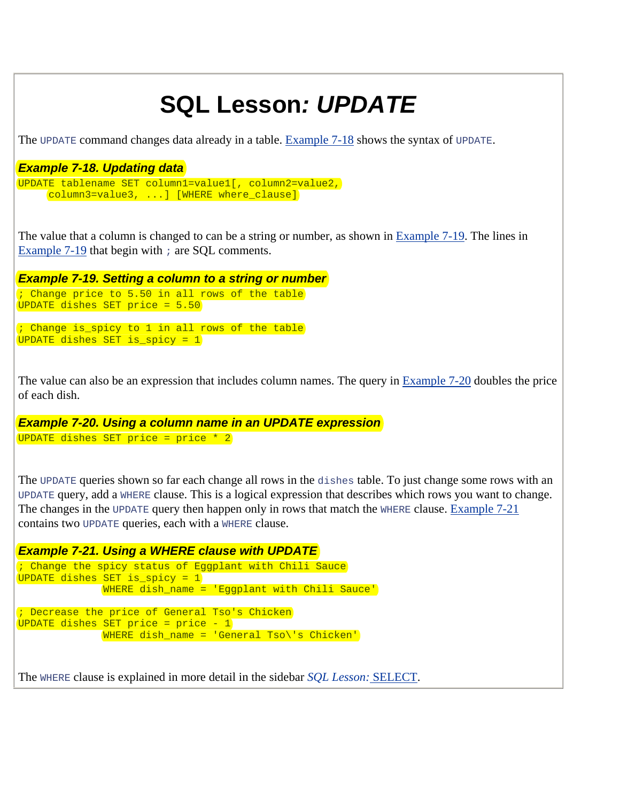# **SQL Lesson***: UPDATE*

The UPDATE command changes data already in a table. Example 7-18 shows the syntax of UPDATE.

*Example 7-18. Updating data*  UPDATE tablename SET column1=value1[, column2=value2,

column3=value3, ...] [WHERE where\_clause]

The value that a column is changed to can be a string or number, as shown in **Example 7-19**. The lines in Example 7-19 that begin with ; are SQL comments.

```
Example 7-19. Setting a column to a string or number 
; Change price to 5.50 in all rows of the table 
UPDATE dishes SET price = 5.50 
: Change is_spicy to 1 in all rows of the table
UPDATE dishes SET is_spicy = 1
```
The value can also be an expression that includes column names. The query in **Example 7-20** doubles the price of each dish.

```
Example 7-20. Using a column name in an UPDATE expression 
UPDATE dishes SET price = price * 2
```
The UPDATE queries shown so far each change all rows in the dishes table. To just change some rows with an UPDATE query, add a WHERE clause. This is a logical expression that describes which rows you want to change. The changes in the UPDATE query then happen only in rows that match the WHERE clause. Example 7-21 contains two UPDATE queries, each with a WHERE clause.

```
Example 7-21. Using a WHERE clause with UPDATE 
: Change the spicy status of Eggplant with Chili Sauce
UPDATE dishes SET is_spicy = 1 
               WHERE dish_name = 'Eggplant with Chili Sauce' 
; Decrease the price of General Tso's Chicken 
UPDATE dishes SET price = price - 1 
               WHERE dish_name = 'General Tso\'s Chicken'
```
The WHERE clause is explained in more detail in the sidebar *SQL Lesson:* SELECT.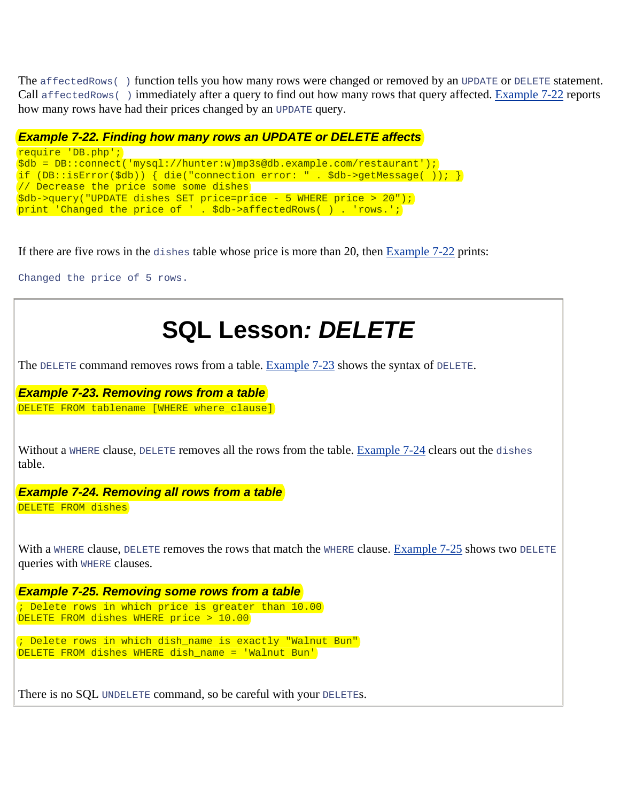The affectedRows() function tells you how many rows were changed or removed by an UPDATE or DELETE statement. Call affectedRows( ) immediately after a query to find out how many rows that query affected. Example 7-22 reports how many rows have had their prices changed by an UPDATE query.

*Example 7-22. Finding how many rows an UPDATE or DELETE affects*  require 'DB.php'; \$db = DB::connect('mysql://hunter:w)mp3s@db.example.com/restaurant'); if (DB::isError(\$db)) { die("connection error: " . \$db->getMessage( )); } // Decrease the price some some dishes \$db->query("UPDATE dishes SET price=price - 5 WHERE price > 20"); print 'Changed the price of ' . \$db->affectedRows( ) . 'rows.';

If there are five rows in the dishes table whose price is more than 20, then Example 7-22 prints:

Changed the price of 5 rows.

# **SQL Lesson***: DELETE*

The DELETE command removes rows from a table. Example 7-23 shows the syntax of DELETE.

#### *Example 7-23. Removing rows from a table*

DELETE FROM tablename [WHERE where\_clause]

Without a WHERE clause, DELETE removes all the rows from the table. Example 7-24 clears out the dishes table.

#### *Example 7-24. Removing all rows from a table*

DELETE FROM dishes

With a WHERE clause, DELETE removes the rows that match the WHERE clause. Example 7-25 shows two DELETE queries with WHERE clauses.

```
Example 7-25. Removing some rows from a table 
; Delete rows in which price is greater than 10.00 
DELETE FROM dishes WHERE price > 10.00
; Delete rows in which dish_name is exactly "Walnut Bun" 
DELETE FROM dishes WHERE dish_name = 'Walnut Bun'
```
There is no SQL UNDELETE command, so be careful with your DELETEs.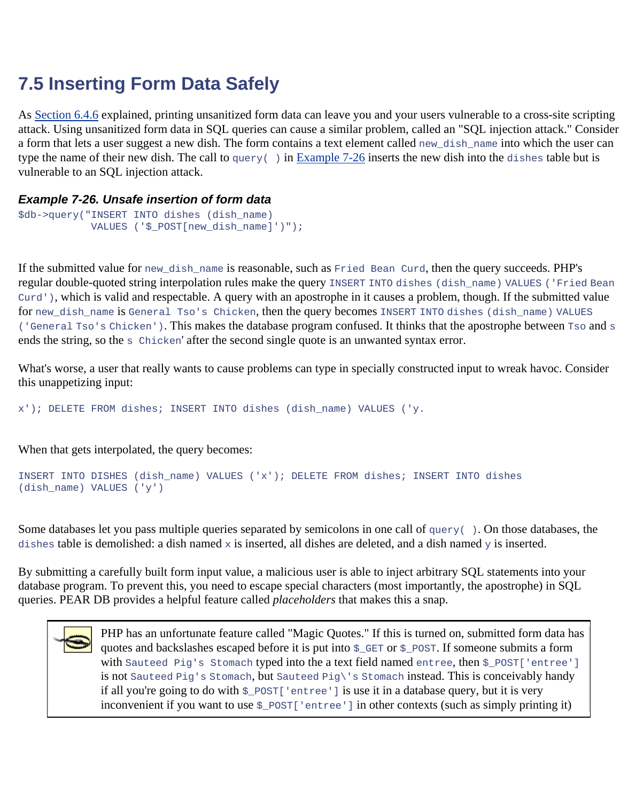# **7.5 Inserting Form Data Safely**

As Section 6.4.6 explained, printing unsanitized form data can leave you and your users vulnerable to a cross-site scripting attack. Using unsanitized form data in SQL queries can cause a similar problem, called an "SQL injection attack." Consider a form that lets a user suggest a new dish. The form contains a text element called new\_dish\_name into which the user can type the name of their new dish. The call to query( ) in Example 7-26 inserts the new dish into the dishes table but is vulnerable to an SQL injection attack.

### *Example 7-26. Unsafe insertion of form data*

```
$db->query("INSERT INTO dishes (dish_name) 
             VALUES ('$_POST[new_dish_name]')");
```
If the submitted value for new\_dish\_name is reasonable, such as Fried Bean Curd, then the query succeeds. PHP's regular double-quoted string interpolation rules make the query INSERT INTO dishes (dish\_name) VALUES ('Fried Bean Curd'), which is valid and respectable. A query with an apostrophe in it causes a problem, though. If the submitted value for new\_dish\_name is General Tso's Chicken, then the query becomes INSERT INTO dishes (dish\_name) VALUES ('General Tso's Chicken'). This makes the database program confused. It thinks that the apostrophe between Tso and s ends the string, so the s Chicken' after the second single quote is an unwanted syntax error.

What's worse, a user that really wants to cause problems can type in specially constructed input to wreak havoc. Consider this unappetizing input:

x'); DELETE FROM dishes; INSERT INTO dishes (dish\_name) VALUES ('y.

When that gets interpolated, the query becomes:

```
INSERT INTO DISHES (dish_name) VALUES ('x'); DELETE FROM dishes; INSERT INTO dishes 
(dish_name) VALUES ('y')
```
Some databases let you pass multiple queries separated by semicolons in one call of  $_{query( )}$ . On those databases, the dishes table is demolished: a dish named x is inserted, all dishes are deleted, and a dish named y is inserted.

By submitting a carefully built form input value, a malicious user is able to inject arbitrary SQL statements into your database program. To prevent this, you need to escape special characters (most importantly, the apostrophe) in SQL queries. PEAR DB provides a helpful feature called *placeholders* that makes this a snap.

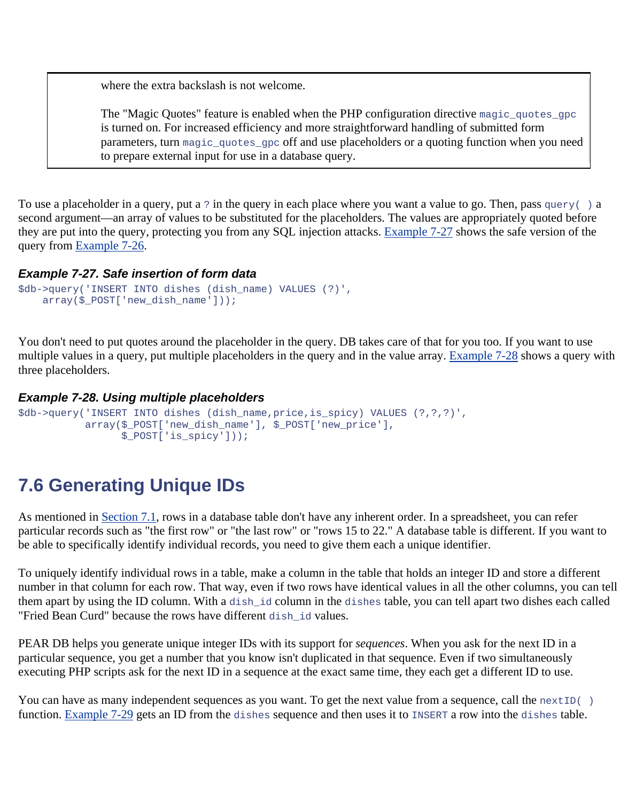where the extra backslash is not welcome.

The "Magic Quotes" feature is enabled when the PHP configuration directive magic\_quotes\_gpc is turned on. For increased efficiency and more straightforward handling of submitted form parameters, turn magic\_quotes\_gpc off and use placeholders or a quoting function when you need to prepare external input for use in a database query.

To use a placeholder in a query, put a  $\epsilon$  in the query in each place where you want a value to go. Then, pass query() a second argument—an array of values to be substituted for the placeholders. The values are appropriately quoted before they are put into the query, protecting you from any SQL injection attacks. Example 7-27 shows the safe version of the query from Example 7-26.

### *Example 7-27. Safe insertion of form data*

```
$db->query('INSERT INTO dishes (dish_name) VALUES (?)', 
     array($_POST['new_dish_name']));
```
You don't need to put quotes around the placeholder in the query. DB takes care of that for you too. If you want to use multiple values in a query, put multiple placeholders in the query and in the value array. Example 7-28 shows a query with three placeholders.

### *Example 7-28. Using multiple placeholders*

```
$db->query('INSERT INTO dishes (dish_name,price,is_spicy) VALUES (?,?,?)', 
           array($ POST['new dish name'], $ POST['new price'],
                  $_POST['is_spicy']));
```
# **7.6 Generating Unique IDs**

As mentioned in Section 7.1, rows in a database table don't have any inherent order. In a spreadsheet, you can refer particular records such as "the first row" or "the last row" or "rows 15 to 22." A database table is different. If you want to be able to specifically identify individual records, you need to give them each a unique identifier.

To uniquely identify individual rows in a table, make a column in the table that holds an integer ID and store a different number in that column for each row. That way, even if two rows have identical values in all the other columns, you can tell them apart by using the ID column. With a dish\_id column in the dishes table, you can tell apart two dishes each called "Fried Bean Curd" because the rows have different dish id values.

PEAR DB helps you generate unique integer IDs with its support for *sequences*. When you ask for the next ID in a particular sequence, you get a number that you know isn't duplicated in that sequence. Even if two simultaneously executing PHP scripts ask for the next ID in a sequence at the exact same time, they each get a different ID to use.

You can have as many independent sequences as you want. To get the next value from a sequence, call the nextID() function. Example 7-29 gets an ID from the dishes sequence and then uses it to INSERT a row into the dishes table.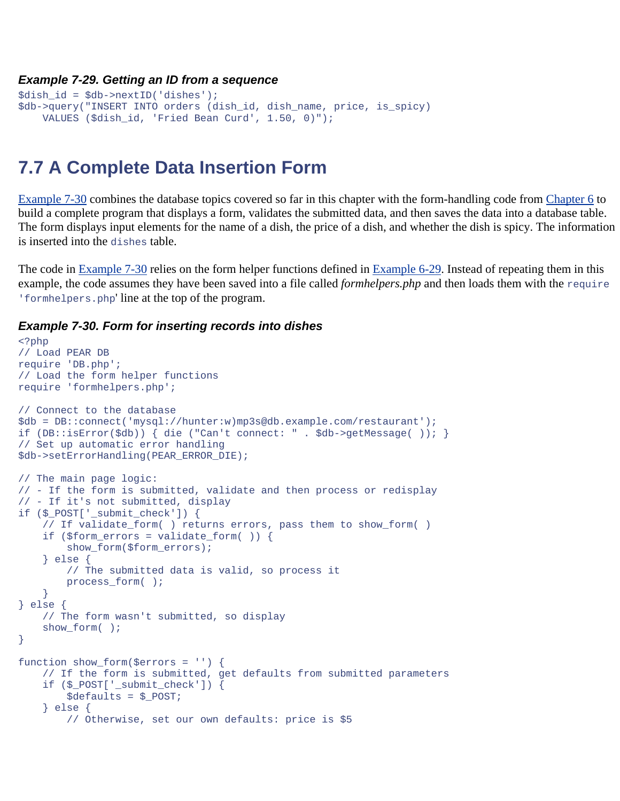#### *Example 7-29. Getting an ID from a sequence*

```
$dish_id = $db->nextID('dishes'); 
$db->query("INSERT INTO orders (dish_id, dish_name, price, is_spicy) 
    VALUES ($dish_id, 'Fried Bean Curd', 1.50, 0)");
```
# **7.7 A Complete Data Insertion Form**

Example 7-30 combines the database topics covered so far in this chapter with the form-handling code from Chapter 6 to build a complete program that displays a form, validates the submitted data, and then saves the data into a database table. The form displays input elements for the name of a dish, the price of a dish, and whether the dish is spicy. The information is inserted into the dishes table.

The code in Example 7-30 relies on the form helper functions defined in Example 6-29. Instead of repeating them in this example, the code assumes they have been saved into a file called *formhelpers.php* and then loads them with the require 'formhelpers.php' line at the top of the program.

*Example 7-30. Form for inserting records into dishes* 

```
<?php 
// Load PEAR DB 
require 'DB.php'; 
// Load the form helper functions 
require 'formhelpers.php'; 
// Connect to the database 
$db = DB::connect('mysql://hunter:w)mp3s@db.example.com/restaurant'); 
if (DB::isError($db)) { die ("Can't connect: " . $db->getMessage( )); } 
// Set up automatic error handling 
$db->setErrorHandling(PEAR_ERROR_DIE); 
// The main page logic: 
// - If the form is submitted, validate and then process or redisplay 
// - If it's not submitted, display 
if ($_POST['_submit_check']) { 
     // If validate_form( ) returns errors, pass them to show_form( ) 
    if ($form errors = validate form( )) {
        show form($form errors);
     } else { 
         // The submitted data is valid, so process it 
         process_form( ); 
     } 
} else { 
     // The form wasn't submitted, so display 
     show_form( ); 
} 
function show form($errors = ''] {
     // If the form is submitted, get defaults from submitted parameters 
     if ($_POST['_submit_check']) { 
         $defaults = $_POST; 
     } else { 
         // Otherwise, set our own defaults: price is $5
```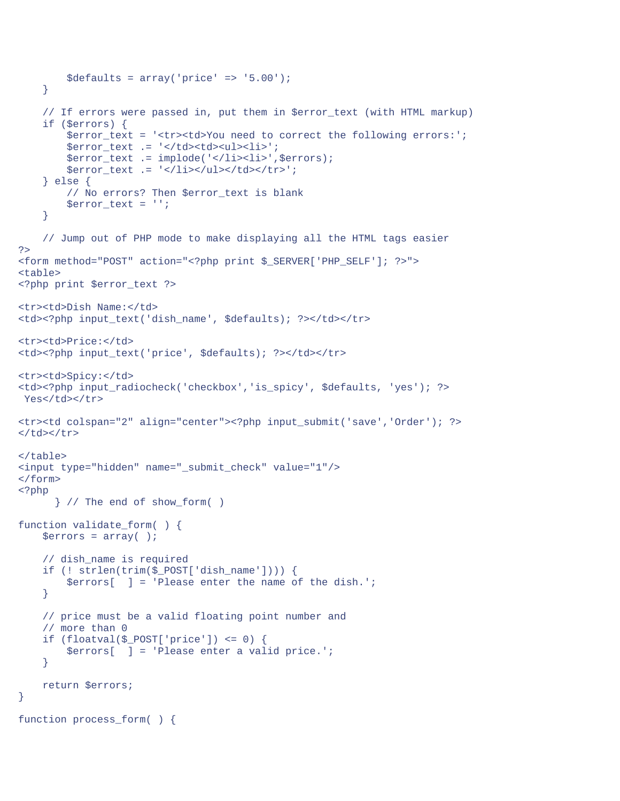```
$defaults = array('price' => '5.00'); } 
     // If errors were passed in, put them in $error_text (with HTML markup) 
     if ($errors) { 
        $error text = '<tr><td>You need to correct the following errors:';
        $error text .= '</td><td><ul><li>';
         $error_text .= implode('</li><li>',$errors); 
         $error_text .= '</li></ul></td></tr>'; 
     } else { 
         // No errors? Then $error_text is blank 
         $error_text = ''; 
     } 
     // Jump out of PHP mode to make displaying all the HTML tags easier 
?> 
<form method="POST" action="<?php print $_SERVER['PHP_SELF']; ?>"> 
<table> 
<?php print $error_text ?> 
<tr><td>Dish Name:</td> 
<td><?php input_text('dish_name', $defaults); ?></td></tr>
<tr><td>Price:</td> 
<td><?php input_text('price', $defaults); ?></td></tr>
<tr><td>Spicy:</td> 
<td><?php input_radiocheck('checkbox','is_spicy', $defaults, 'yes'); ?> 
Yes</td></tr>
<tr><td colspan="2" align="center"><?php input_submit('save','Order'); ?> 
\langle t \, ds \rangle</table> 
<input type="hidden" name="_submit_check" value="1"/> 
</form> 
<?php 
       } // The end of show_form( ) 
function validate form( ) {
    $errors = array() // dish_name is required 
     if (! strlen(trim($_POST['dish_name']))) { 
         $errors[ ] = 'Please enter the name of the dish.'; 
     } 
     // price must be a valid floating point number and 
     // more than 0 
    if (floatval(\xi_POST['price']) \leq 0) $errors[ ] = 'Please enter a valid price.'; 
     } 
     return $errors; 
} 
function process_form( ) {
```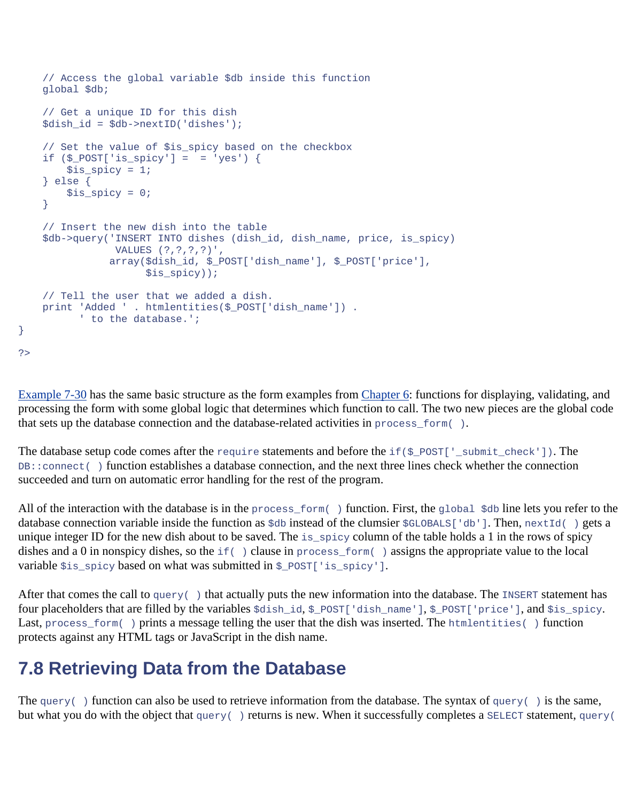```
 // Access the global variable $db inside this function 
 global $db; 
 // Get a unique ID for this dish 
 $dish_id = $db->nextID('dishes'); 
// Set the value of $is spicy based on the checkbox
if (\frac{1}{2}POST['is\_spicy'] = - 'yes') {
    $is\_spicy = 1; } else { 
    $is\_spicy = 0; } 
 // Insert the new dish into the table 
 $db->query('INSERT INTO dishes (dish_id, dish_name, price, is_spicy) 
             VALUES (?,?,?,?)', 
            array($dish_id, $_POST['dish_name'], $_POST['price'], 
                   $is_spicy)); 
 // Tell the user that we added a dish. 
 print 'Added ' . htmlentities($_POST['dish_name']) . 
       ' to the database.';
```
Example 7-30 has the same basic structure as the form examples from Chapter 6: functions for displaying, validating, and processing the form with some global logic that determines which function to call. The two new pieces are the global code that sets up the database connection and the database-related activities in process\_form( ).

The database setup code comes after the require statements and before the  $if(S_POST['\_submit\_check'])$ . The DB::connect( ) function establishes a database connection, and the next three lines check whether the connection succeeded and turn on automatic error handling for the rest of the program.

All of the interaction with the database is in the process\_form() function. First, the global  $\beta$ db line lets you refer to the database connection variable inside the function as  $\dagger$ db instead of the clumsier  $\dagger$ GLOBALS['db']. Then, nextId() gets a unique integer ID for the new dish about to be saved. The  $i_s$  spicy column of the table holds a 1 in the rows of spicy dishes and a 0 in nonspicy dishes, so the if() clause in process\_form() assigns the appropriate value to the local variable  $\frac{1}{5}$  is\_spicy based on what was submitted in  $\frac{1}{5}$  post ['is\_spicy'].

After that comes the call to  $query($  ) that actually puts the new information into the database. The INSERT statement has four placeholders that are filled by the variables \$dish\_id, \$\_POST['dish\_name'], \$\_POST['price'], and \$is\_spicy. Last, process\_form() prints a message telling the user that the dish was inserted. The htmlentities() function protects against any HTML tags or JavaScript in the dish name.

# **7.8 Retrieving Data from the Database**

}

?>

The query() function can also be used to retrieve information from the database. The syntax of query() is the same, but what you do with the object that  $q_{\text{query}}($  ) returns is new. When it successfully completes a  $\text{SELECT statement}, q_{\text{query}}($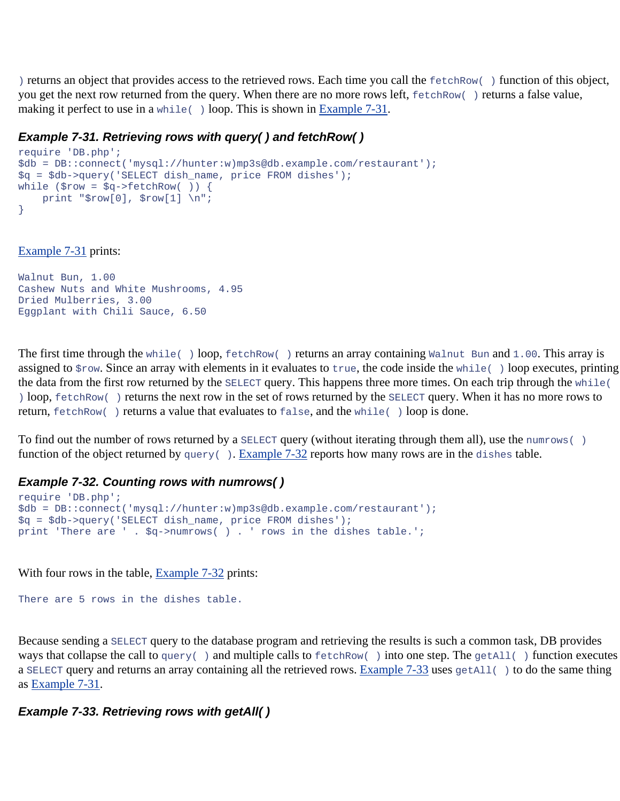) returns an object that provides access to the retrieved rows. Each time you call the fetchRow( ) function of this object, you get the next row returned from the query. When there are no more rows left,  $feta$ ,  $feta$  returns a false value, making it perfect to use in a while() loop. This is shown in Example 7-31.

#### *Example 7-31. Retrieving rows with query( ) and fetchRow( )*

```
require 'DB.php'; 
$db = DB::connect('mysql://hunter:w)mp3s@db.example.com/restaurant'); 
$q = $db->query('SELECT dish_name, price FROM dishes'); 
while (\text{row} = \text{Sq} \rightarrow \text{fetchRow}() ) {
    print "$row[0], $row[1] \n\pi";
}
```
Example 7-31 prints:

```
Walnut Bun, 1.00 
Cashew Nuts and White Mushrooms, 4.95 
Dried Mulberries, 3.00 
Eggplant with Chili Sauce, 6.50
```
The first time through the while( ) loop,  $fetchRow($  ) returns an array containing Walnut Bun and 1.00. This array is assigned to  $\frac{1}{2}$  row. Since an array with elements in it evaluates to true, the code inside the while() loop executes, printing the data from the first row returned by the SELECT query. This happens three more times. On each trip through the while( ) loop, fetchRow( ) returns the next row in the set of rows returned by the SELECT query. When it has no more rows to return, fetchRow( ) returns a value that evaluates to false, and the while( ) loop is done.

To find out the number of rows returned by a SELECT query (without iterating through them all), use the numrows() function of the object returned by query(). Example 7-32 reports how many rows are in the dishes table.

#### *Example 7-32. Counting rows with numrows( )*

```
require 'DB.php'; 
$db = DB::connect('mysql://hunter:w)mp3s@db.example.com/restaurant'); 
$q = $db->query('SELECT dish_name, price FROM dishes'); 
print 'There are ' . $q->numrows( ) . ' rows in the dishes table.';
```
With four rows in the table, **Example 7-32** prints:

There are 5 rows in the dishes table.

Because sending a SELECT query to the database program and retrieving the results is such a common task, DB provides ways that collapse the call to query() and multiple calls to fetchRow() into one step. The getAll() function executes a SELECT query and returns an array containing all the retrieved rows. Example 7-33 uses getAll( ) to do the same thing as Example 7-31.

### *Example 7-33. Retrieving rows with getAll( )*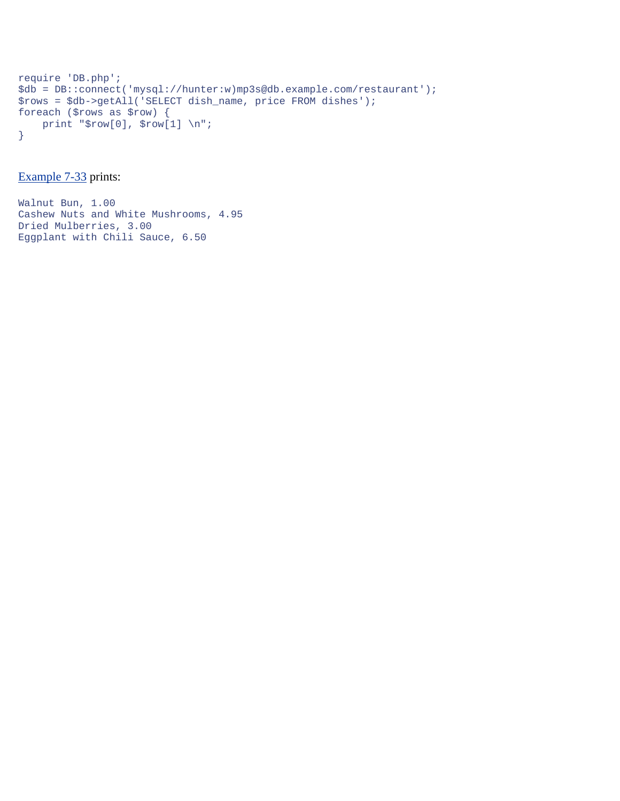```
require 'DB.php'; 
$db = DB::connect('mysql://hunter:w)mp3s@db.example.com/restaurant'); 
$rows = $db->getAll('SELECT dish_name, price FROM dishes'); 
foreach ($rows as $row) { 
     print "$row[0], $row[1] \n"; 
}
```
Example 7-33 prints:

Walnut Bun, 1.00 Cashew Nuts and White Mushrooms, 4.95 Dried Mulberries, 3.00 Eggplant with Chili Sauce, 6.50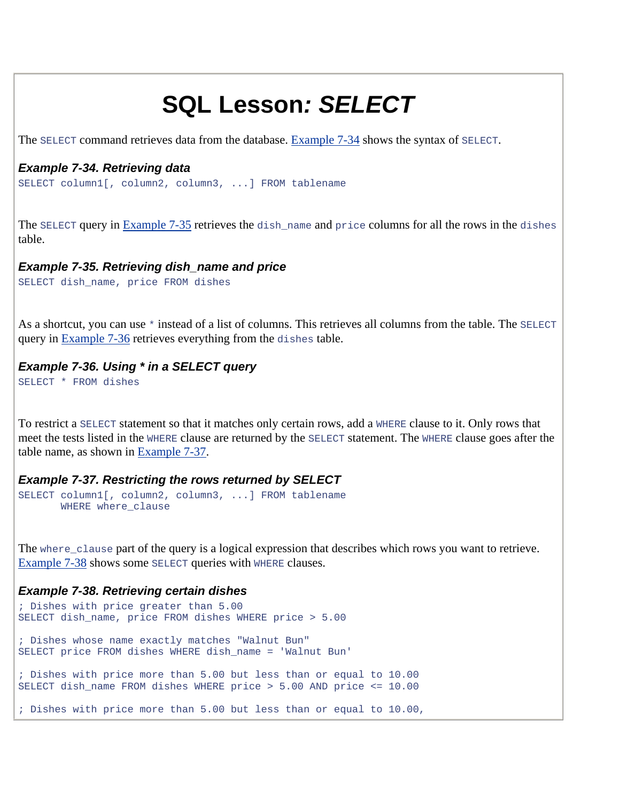# **SQL Lesson***: SELECT*

The SELECT command retrieves data from the database. Example 7-34 shows the syntax of SELECT.

#### *Example 7-34. Retrieving data*

SELECT column1[, column2, column3, ...] FROM tablename

The SELECT query in Example 7-35 retrieves the dish\_name and price columns for all the rows in the dishes table.

#### *Example 7-35. Retrieving dish\_name and price*

SELECT dish name, price FROM dishes

As a shortcut, you can use  $*$  instead of a list of columns. This retrieves all columns from the table. The SELECT query in Example 7-36 retrieves everything from the dishes table.

### *Example 7-36. Using \* in a SELECT query*

SELECT \* FROM dishes

To restrict a SELECT statement so that it matches only certain rows, add a WHERE clause to it. Only rows that meet the tests listed in the WHERE clause are returned by the SELECT statement. The WHERE clause goes after the table name, as shown in Example 7-37.

#### *Example 7-37. Restricting the rows returned by SELECT*

```
SELECT column1[, column2, column3, ...] FROM tablename 
       WHERE where clause
```
The where clause part of the query is a logical expression that describes which rows you want to retrieve. Example 7-38 shows some SELECT queries with WHERE clauses.

#### *Example 7-38. Retrieving certain dishes*

```
; Dishes with price greater than 5.00 
SELECT dish_name, price FROM dishes WHERE price > 5.00 
; Dishes whose name exactly matches "Walnut Bun" 
SELECT price FROM dishes WHERE dish_name = 'Walnut Bun' 
; Dishes with price more than 5.00 but less than or equal to 10.00 
SELECT dish name FROM dishes WHERE price > 5.00 AND price <= 10.00
; Dishes with price more than 5.00 but less than or equal to 10.00,
```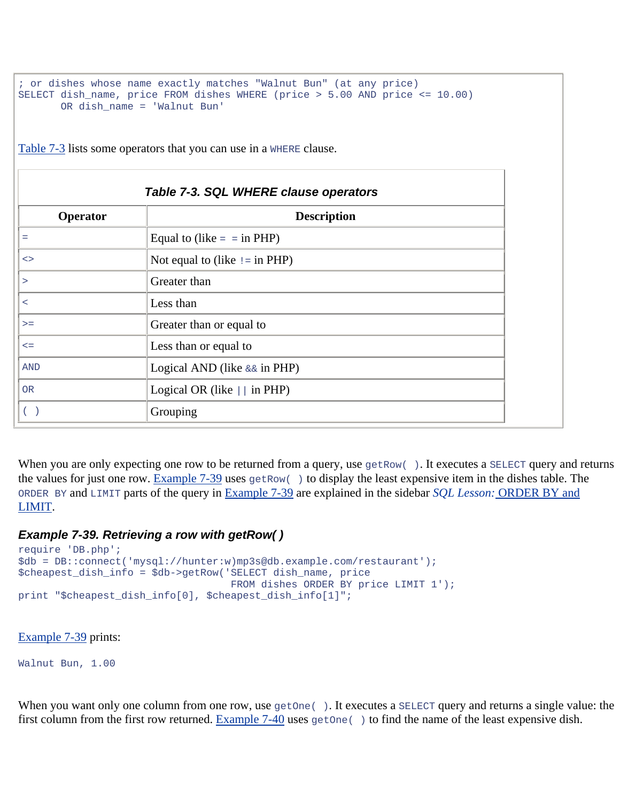```
; or dishes whose name exactly matches "Walnut Bun" (at any price) 
SELECT dish_name, price FROM dishes WHERE (price > 5.00 AND price <= 10.00) 
       OR dish_name = 'Walnut Bun'
```
Table 7-3 lists some operators that you can use in a WHERE clause.

| Table 7-3. SQL WHERE clause operators |                                                  |  |  |  |
|---------------------------------------|--------------------------------------------------|--|--|--|
| Operator                              | <b>Description</b>                               |  |  |  |
| Ξ                                     | Equal to (like $=$ = in PHP)                     |  |  |  |
| $\lt$                                 | Not equal to (like $\vert \cdot \vert$ = in PHP) |  |  |  |
| $\geq$                                | Greater than                                     |  |  |  |
| $\,<\,$                               | Less than                                        |  |  |  |
| $>=$                                  | Greater than or equal to                         |  |  |  |
| $\leq$ $=$                            | Less than or equal to                            |  |  |  |
| <b>AND</b>                            | Logical AND (like $\&&\&$ in PHP)                |  |  |  |
| <b>OR</b>                             | Logical OR (like $  $ in PHP)                    |  |  |  |
|                                       | Grouping                                         |  |  |  |

When you are only expecting one row to be returned from a query, use  $g$  getRow(). It executes a SELECT query and returns the values for just one row. Example 7-39 uses getRow() to display the least expensive item in the dishes table. The ORDER BY and LIMIT parts of the query in Example 7-39 are explained in the sidebar *SQL Lesson:* ORDER BY and LIMIT.

### *Example 7-39. Retrieving a row with getRow( )*

```
require 'DB.php'; 
$db = DB::connect('mysql://hunter:w)mp3s@db.example.com/restaurant'); 
$cheapest_dish_info = $db->getRow('SELECT dish_name, price 
                                     FROM dishes ORDER BY price LIMIT 1'); 
print "$cheapest_dish_info[0], $cheapest_dish_info[1]";
```
Example 7-39 prints:

Walnut Bun, 1.00

When you want only one column from one row, use getOne(). It executes a SELECT query and returns a single value: the first column from the first row returned. Example 7-40 uses  $getOne( )$  to find the name of the least expensive dish.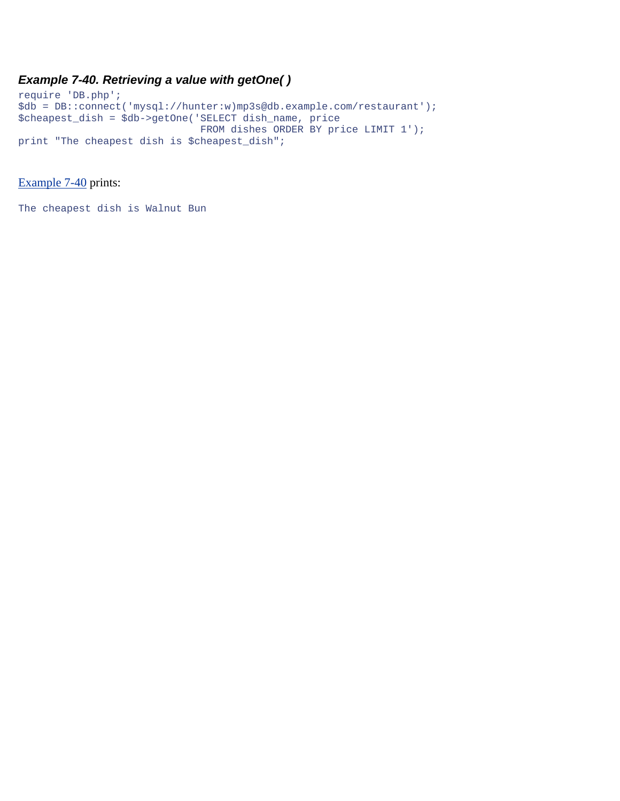# *Example 7-40. Retrieving a value with getOne( )*

require 'DB.php'; \$db = DB::connect('mysql://hunter:w)mp3s@db.example.com/restaurant'); \$cheapest\_dish = \$db->getOne('SELECT dish\_name, price FROM dishes ORDER BY price LIMIT 1'); print "The cheapest dish is \$cheapest\_dish";

Example 7-40 prints:

The cheapest dish is Walnut Bun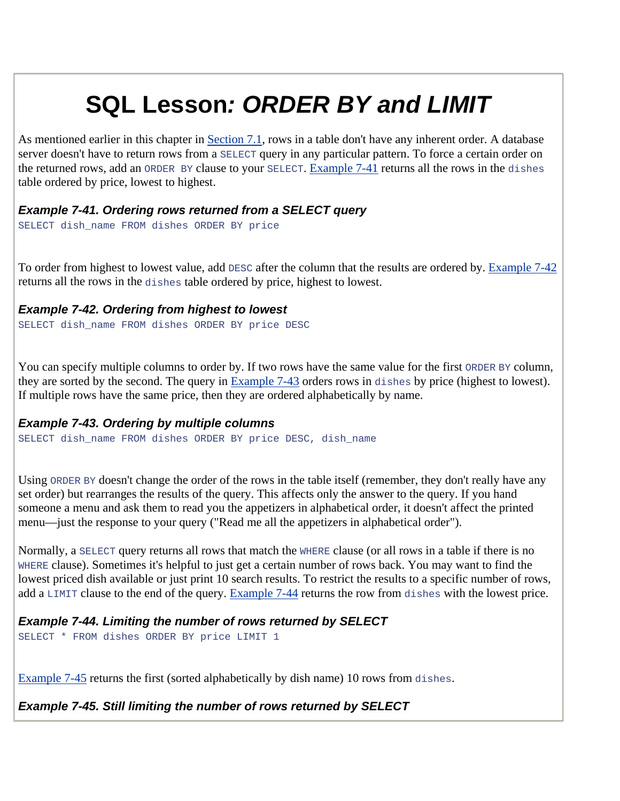# **SQL Lesson***: ORDER BY and LIMIT*

As mentioned earlier in this chapter in Section 7.1, rows in a table don't have any inherent order. A database server doesn't have to return rows from a SELECT query in any particular pattern. To force a certain order on the returned rows, add an ORDER BY clause to your SELECT. Example 7-41 returns all the rows in the dishes table ordered by price, lowest to highest.

### *Example 7-41. Ordering rows returned from a SELECT query*

SELECT dish name FROM dishes ORDER BY price

To order from highest to lowest value, add DESC after the column that the results are ordered by. Example 7-42 returns all the rows in the dishes table ordered by price, highest to lowest.

### *Example 7-42. Ordering from highest to lowest*

SELECT dish name FROM dishes ORDER BY price DESC

You can specify multiple columns to order by. If two rows have the same value for the first ORDER BY column, they are sorted by the second. The query in Example 7-43 orders rows in dishes by price (highest to lowest). If multiple rows have the same price, then they are ordered alphabetically by name.

## *Example 7-43. Ordering by multiple columns*

SELECT dish name FROM dishes ORDER BY price DESC, dish name

Using ORDER BY doesn't change the order of the rows in the table itself (remember, they don't really have any set order) but rearranges the results of the query. This affects only the answer to the query. If you hand someone a menu and ask them to read you the appetizers in alphabetical order, it doesn't affect the printed menu—just the response to your query ("Read me all the appetizers in alphabetical order").

Normally, a SELECT query returns all rows that match the WHERE clause (or all rows in a table if there is no WHERE clause). Sometimes it's helpful to just get a certain number of rows back. You may want to find the lowest priced dish available or just print 10 search results. To restrict the results to a specific number of rows, add a LIMIT clause to the end of the query. Example 7-44 returns the row from dishes with the lowest price.

# *Example 7-44. Limiting the number of rows returned by SELECT*

SELECT \* FROM dishes ORDER BY price LIMIT 1

Example 7-45 returns the first (sorted alphabetically by dish name) 10 rows from dishes.

# *Example 7-45. Still limiting the number of rows returned by SELECT*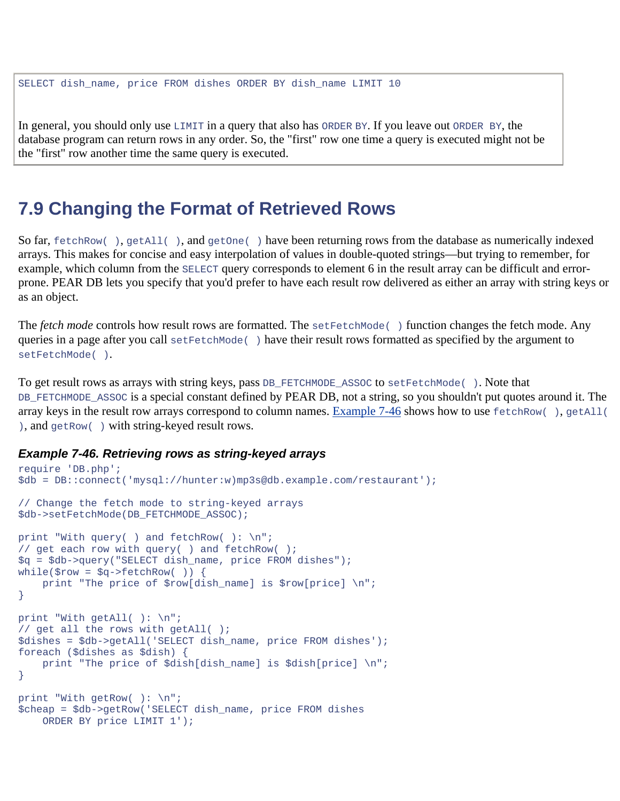SELECT dish name, price FROM dishes ORDER BY dish name LIMIT 10

In general, you should only use LIMIT in a query that also has ORDER BY. If you leave out ORDER BY, the database program can return rows in any order. So, the "first" row one time a query is executed might not be the "first" row another time the same query is executed.

# **7.9 Changing the Format of Retrieved Rows**

So far,  $feta(x)$ , getall(), and getOne() have been returning rows from the database as numerically indexed arrays. This makes for concise and easy interpolation of values in double-quoted strings—but trying to remember, for example, which column from the SELECT query corresponds to element 6 in the result array can be difficult and errorprone. PEAR DB lets you specify that you'd prefer to have each result row delivered as either an array with string keys or as an object.

The *fetch mode* controls how result rows are formatted. The setFetchMode() function changes the fetch mode. Any queries in a page after you call  $set$ FetchMode() have their result rows formatted as specified by the argument to setFetchMode( ).

To get result rows as arrays with string keys, pass DB\_FETCHMODE\_ASSOC to setFetchMode(). Note that DB\_FETCHMODE\_ASSOC is a special constant defined by PEAR DB, not a string, so you shouldn't put quotes around it. The array keys in the result row arrays correspond to column names. Example 7-46 shows how to use fetchRow(), getAll( ), and getRow( ) with string-keyed result rows.

#### *Example 7-46. Retrieving rows as string-keyed arrays*

```
require 'DB.php'; 
$db = DB::connect('mysql://hunter:w)mp3s@db.example.com/restaurant'); 
// Change the fetch mode to string-keyed arrays 
$db->setFetchMode(DB_FETCHMODE_ASSOC); 
print "With query( ) and fetchRow( ): \n\pi;
// get each row with query( ) and fetchRow( ); 
$q = $db->query("SELECT dish_name, price FROM dishes"); 
while($row = $q$->fetchRow()) {
     print "The price of $row[dish_name] is $row[price] \n"; 
} 
print "With getAll( ): \n";
// get all the rows with getAll( ); 
$dishes = $db->getAll('SELECT dish_name, price FROM dishes'); 
foreach ($dishes as $dish) { 
    print "The price of $dish[dish_name] is $dish[price] \n \pi;
} 
print "With getRow( ): \n\times ;
$cheap = $db->getRow('SELECT dish_name, price FROM dishes 
     ORDER BY price LIMIT 1');
```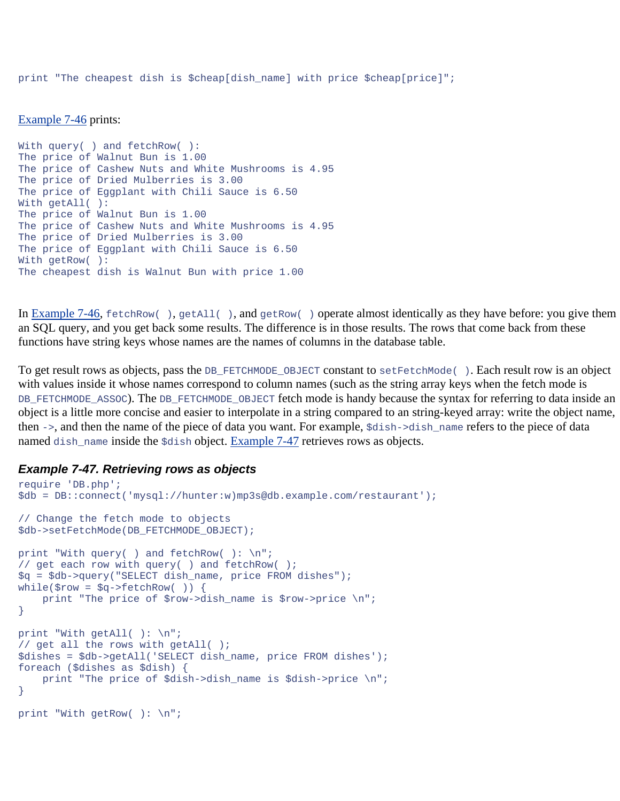print "The cheapest dish is \$cheap[dish\_name] with price \$cheap[price]";

#### Example 7-46 prints:

```
With query( ) and fetchRow( ): 
The price of Walnut Bun is 1.00 
The price of Cashew Nuts and White Mushrooms is 4.95 
The price of Dried Mulberries is 3.00 
The price of Eggplant with Chili Sauce is 6.50 
With getAll( ): 
The price of Walnut Bun is 1.00 
The price of Cashew Nuts and White Mushrooms is 4.95 
The price of Dried Mulberries is 3.00 
The price of Eggplant with Chili Sauce is 6.50 
With getRow( ): 
The cheapest dish is Walnut Bun with price 1.00
```
In Example 7-46,  $fetchRow($ ),  $getAll($ ), and  $getRow($ ) operate almost identically as they have before: you give them an SQL query, and you get back some results. The difference is in those results. The rows that come back from these functions have string keys whose names are the names of columns in the database table.

To get result rows as objects, pass the DB\_FETCHMODE\_OBJECT constant to setFetchMode( ). Each result row is an object with values inside it whose names correspond to column names (such as the string array keys when the fetch mode is DB\_FETCHMODE\_ASSOC). The DB\_FETCHMODE\_OBJECT fetch mode is handy because the syntax for referring to data inside an object is a little more concise and easier to interpolate in a string compared to an string-keyed array: write the object name, then  $\rightarrow$ , and then the name of the piece of data you want. For example,  $\frac{1}{2}$ dish- $\frac{1}{2}$ chish\_name refers to the piece of data named dish\_name inside the *\$dish object*. Example 7-47 retrieves rows as objects.

#### *Example 7-47. Retrieving rows as objects*

```
require 'DB.php'; 
$db = DB::connect('mysql://hunter:w)mp3s@db.example.com/restaurant'); 
// Change the fetch mode to objects 
$db->setFetchMode(DB_FETCHMODE_OBJECT); 
print "With query( ) and fetchRow( ): \n";
// get each row with query( ) and fetchRow( ); 
$q = $db->query("SELECT dish_name, price FROM dishes"); 
while($row = $q$->fetchRow()) {
     print "The price of $row->dish_name is $row->price \n"; 
} 
print "With getAll( ): \n";
// get all the rows with getAll( ); 
$dishes = $db->getAll('SELECT dish_name, price FROM dishes'); 
foreach ($dishes as $dish) { 
     print "The price of $dish->dish_name is $dish->price \n"; 
} 
print "With getRow( ): \n\pi;
```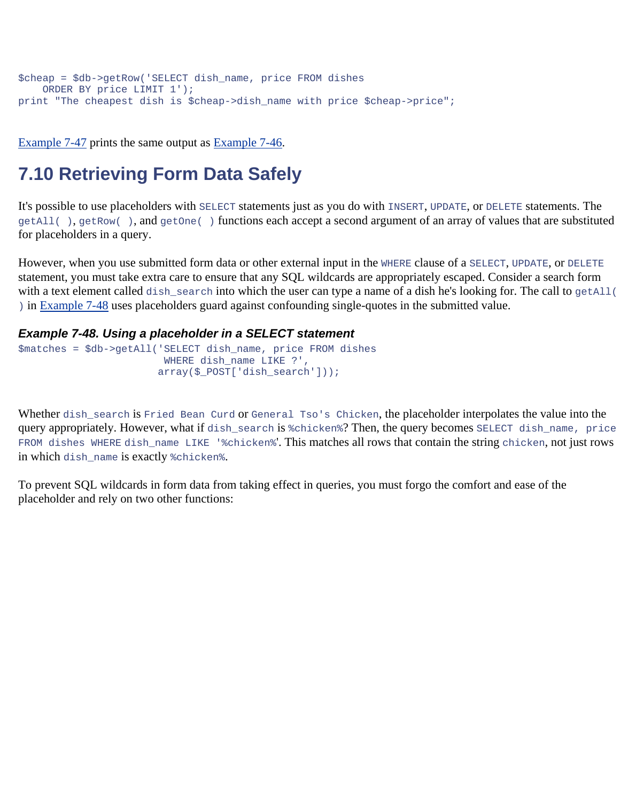```
$cheap = $db->getRow('SELECT dish_name, price FROM dishes 
     ORDER BY price LIMIT 1'); 
print "The cheapest dish is $cheap->dish_name with price $cheap->price";
```
Example 7-47 prints the same output as Example 7-46.

# **7.10 Retrieving Form Data Safely**

It's possible to use placeholders with SELECT statements just as you do with INSERT, UPDATE, or DELETE statements. The getAll( ), getRow( ), and getOne( ) functions each accept a second argument of an array of values that are substituted for placeholders in a query.

However, when you use submitted form data or other external input in the WHERE clause of a SELECT, UPDATE, or DELETE statement, you must take extra care to ensure that any SQL wildcards are appropriately escaped. Consider a search form with a text element called dish\_search into which the user can type a name of a dish he's looking for. The call to getAll( ) in Example 7-48 uses placeholders guard against confounding single-quotes in the submitted value.

#### *Example 7-48. Using a placeholder in a SELECT statement*

```
$matches = $db->getAll('SELECT dish_name, price FROM dishes 
                        WHERE dish name LIKE ?',
                        array($_POST['dish_search']));
```
Whether dish\_search is Fried Bean Curd or General Tso's Chicken, the placeholder interpolates the value into the query appropriately. However, what if dish\_search is %chicken%? Then, the query becomes SELECT dish\_name, price FROM dishes WHERE dish\_name LIKE '%chicken%'. This matches all rows that contain the string chicken, not just rows in which dish name is exactly &chicken&.

To prevent SQL wildcards in form data from taking effect in queries, you must forgo the comfort and ease of the placeholder and rely on two other functions: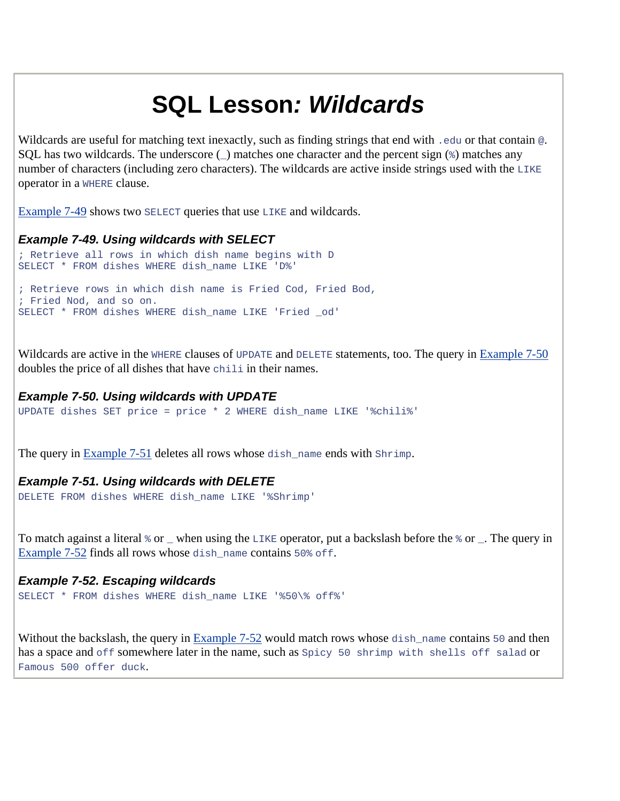# **SQL Lesson***: Wildcards*

Wildcards are useful for matching text inexactly, such as finding strings that end with . edu or that contain  $\infty$ . SQL has two wildcards. The underscore (\_) matches one character and the percent sign (%) matches any number of characters (including zero characters). The wildcards are active inside strings used with the LIKE operator in a WHERE clause.

Example 7-49 shows two SELECT queries that use LIKE and wildcards.

### *Example 7-49. Using wildcards with SELECT*

```
; Retrieve all rows in which dish name begins with D 
SELECT * FROM dishes WHERE dish_name LIKE 'D%' 
; Retrieve rows in which dish name is Fried Cod, Fried Bod, 
; Fried Nod, and so on. 
SELECT * FROM dishes WHERE dish name LIKE 'Fried od'
```
Wildcards are active in the WHERE clauses of UPDATE and DELETE statements, too. The query in Example 7-50 doubles the price of all dishes that have chili in their names.

#### *Example 7-50. Using wildcards with UPDATE*

UPDATE dishes SET price = price \* 2 WHERE dish\_name LIKE '%chili%'

The query in Example  $7-51$  deletes all rows whose  $\text{dist}_n$  name ends with  $\text{Strimp}$ .

### *Example 7-51. Using wildcards with DELETE*

DELETE FROM dishes WHERE dish name LIKE '%Shrimp'

To match against a literal  $\gamma$  or  $\gamma$  when using the LIKE operator, put a backslash before the  $\gamma$  or  $\gamma$ . The query in Example 7-52 finds all rows whose dish name contains 50% off.

### *Example 7-52. Escaping wildcards*

SELECT \* FROM dishes WHERE dish\_name LIKE '%50\% off%'

Without the backslash, the query in Example  $7-52$  would match rows whose  $\text{dist}_{\text{name}}$  contains 50 and then has a space and off somewhere later in the name, such as Spicy 50 shrimp with shells off salad or Famous 500 offer duck.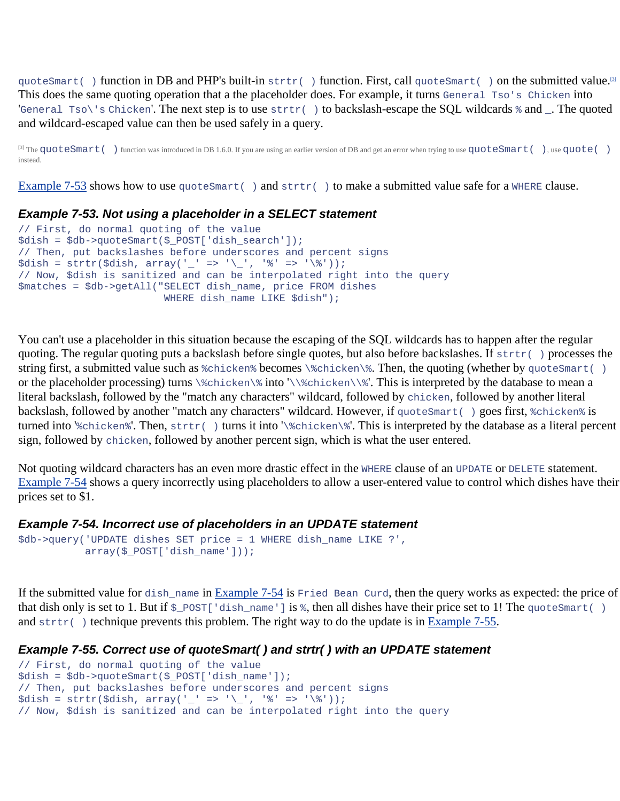quoteSmart( ) function in DB and PHP's built-in strtr( ) function. First, call quoteSmart( ) on the submitted value.[3] This does the same quoting operation that a the placeholder does. For example, it turns General Tso's Chicken into 'General Tso\'s Chicken'. The next step is to use strtr() to backslash-escape the SQL wildcards  $\frac{1}{2}$  and \_. The quoted and wildcard-escaped value can then be used safely in a query.

[3] The quoteSmart() function was introduced in DB 1.6.0. If you are using an earlier version of DB and get an error when trying to use quoteSmart(), use quote() instead.

Example 7-53 shows how to use  $quotesian_t$  and  $strict_t$  to make a submitted value safe for a WHERE clause.

#### *Example 7-53. Not using a placeholder in a SELECT statement*

```
// First, do normal quoting of the value 
$dish = $db->quoteSmart($_POST['dish_search']); 
// Then, put backslashes before underscores and percent signs 
$disk = strtr($disk, array(' ' => '\\ ', '% ' => '\\// Now, $dish is sanitized and can be interpolated right into the query 
$matches = $db->getAll("SELECT dish_name, price FROM dishes 
                        WHERE dish name LIKE $dish");
```
You can't use a placeholder in this situation because the escaping of the SQL wildcards has to happen after the regular quoting. The regular quoting puts a backslash before single quotes, but also before backslashes. If strtr( ) processes the string first, a submitted value such as  $\text{echicken}\$  becomes  $\text{chicken}\$ . Then, the quoting (whether by quoteSmart() or the placeholder processing) turns \&chicken\& into '\\&chicken\\&'. This is interpreted by the database to mean a literal backslash, followed by the "match any characters" wildcard, followed by chicken, followed by another literal backslash, followed by another "match any characters" wildcard. However, if quoteSmart() goes first, %chicken% is turned into '%chicken%'. Then, strtr( ) turns it into '\%chicken\%'. This is interpreted by the database as a literal percent sign, followed by chicken, followed by another percent sign, which is what the user entered.

Not quoting wildcard characters has an even more drastic effect in the WHERE clause of an UPDATE or DELETE statement. Example 7-54 shows a query incorrectly using placeholders to allow a user-entered value to control which dishes have their prices set to \$1.

#### *Example 7-54. Incorrect use of placeholders in an UPDATE statement*

```
$db->query('UPDATE dishes SET price = 1 WHERE dish_name LIKE ?', 
            array($_POST['dish_name']));
```
If the submitted value for dish\_name in Example 7-54 is Fried Bean Curd, then the query works as expected: the price of that dish only is set to 1. But if  $\zeta_P$ OST['dish\_name'] is  $\zeta$ , then all dishes have their price set to 1! The quoteSmart() and  $strr()$  technique prevents this problem. The right way to do the update is in Example 7-55.

#### *Example 7-55. Correct use of quoteSmart( ) and strtr( ) with an UPDATE statement*

```
// First, do normal quoting of the value 
$dish = $db->quoteSmart($_POST['dish_name']); 
// Then, put backslashes before underscores and percent signs 
\dagger \sinh = \arctan(\sinh, \arctan(-1) \Rightarrow \cosh^{-1}(1) \Rightarrow \cosh^{-1}(1) \Rightarrow \cosh^{-1}(1) \Rightarrow \cosh^{-1}(1) \Rightarrow \cosh^{-1}(1) \Rightarrow \cosh^{-1}(1) \Rightarrow \cosh^{-1}(1) \Rightarrow \cosh^{-1}(1) \Rightarrow \cosh^{-1}(1) \Rightarrow \cosh^{-1}(1) \Rightarrow \cosh^{-1}(1) \Rightarrow \cosh^{-1}(1) \Rightarrow \cosh^{-1}(1) \Rightarrow \cosh^{-1}(1) \Rightarrow \cosh^{-1}(1) \Rightarrow \cosh^{-1}(1) \Rightarrow \cosh^{-1}(1) \Rightarrow \cosh^{-1}(1) \Rightarrow \cosh^{-1}(1) \Rightarrow \cosh^{-// Now, $dish is sanitized and can be interpolated right into the query
```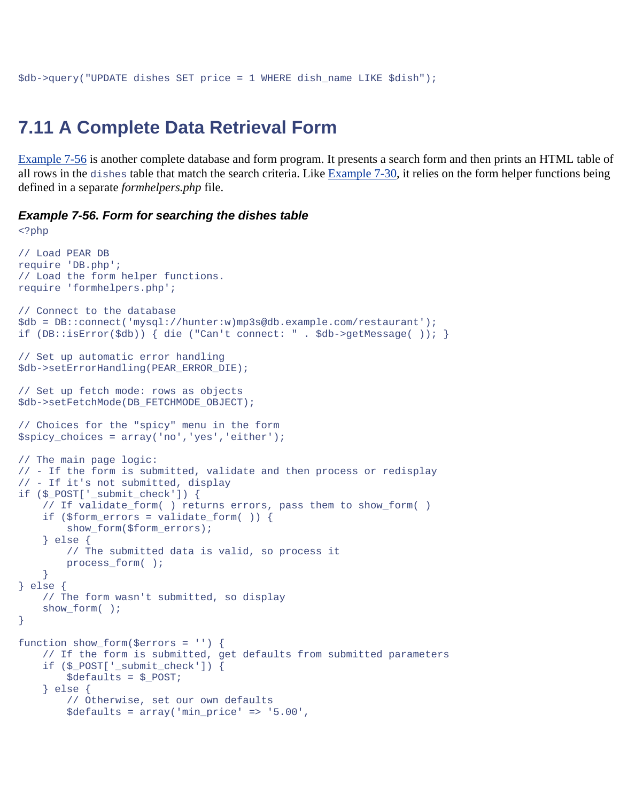\$db->query("UPDATE dishes SET price = 1 WHERE dish\_name LIKE \$dish");

# **7.11 A Complete Data Retrieval Form**

Example 7-56 is another complete database and form program. It presents a search form and then prints an HTML table of all rows in the dishes table that match the search criteria. Like  $Example 7-30$ , it relies on the form helper functions being defined in a separate *formhelpers.php* file.

#### *Example 7-56. Form for searching the dishes table*

<?php

```
// Load PEAR DB 
require 'DB.php'; 
// Load the form helper functions. 
require 'formhelpers.php'; 
// Connect to the database 
$db = DB::connect('mysql://hunter:w)mp3s@db.example.com/restaurant'); 
if (DB::isError($db)) { die ("Can't connect: " . $db->getMessage( )); } 
// Set up automatic error handling 
$db->setErrorHandling(PEAR_ERROR_DIE); 
// Set up fetch mode: rows as objects 
$db->setFetchMode(DB_FETCHMODE_OBJECT); 
// Choices for the "spicy" menu in the form 
$spicy_choices = array('no','yes','either'); 
// The main page logic: 
// - If the form is submitted, validate and then process or redisplay 
// - If it's not submitted, display 
if ($_POST['_submit_check']) { 
     // If validate_form( ) returns errors, pass them to show_form( ) 
     if ($form_errors = validate_form( )) { 
         show_form($form_errors); 
     } else { 
         // The submitted data is valid, so process it 
         process_form( ); 
     } 
} else { 
     // The form wasn't submitted, so display 
    show form( );
} 
function show form($errors = ''] {
     // If the form is submitted, get defaults from submitted parameters 
     if ($_POST['_submit_check']) { 
         $defaults = $_POST; 
     } else { 
         // Otherwise, set our own defaults 
         $defaults = array('min_price' => '5.00',
```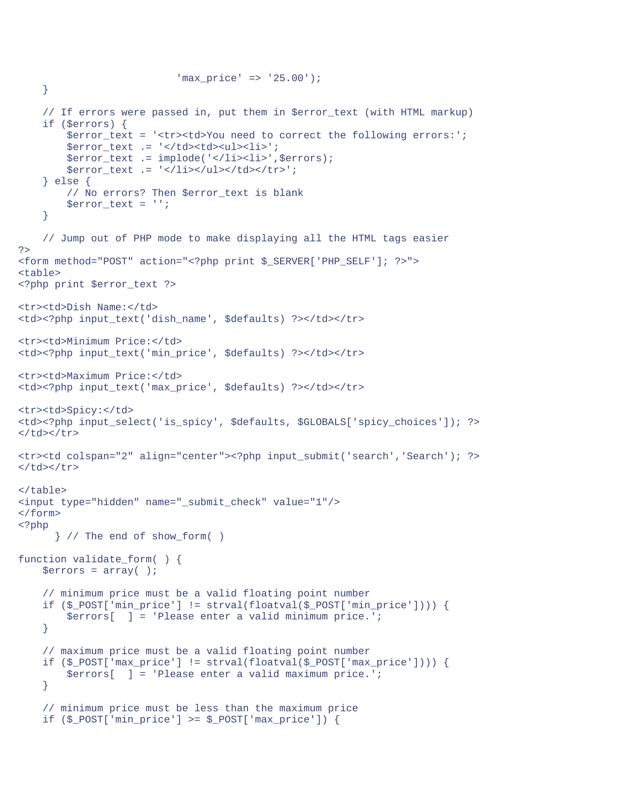```
 'max_price' => '25.00'); 
    } 
     // If errors were passed in, put them in $error_text (with HTML markup) 
     if ($errors) { 
        $error text = '<tr><td>You need to correct the following errors:';
        $error text .= '</td><td><ul><li>';
         $error_text .= implode('</li><li>',$errors); 
         $error_text .= '</li></ul></td></tr>'; 
     } else { 
         // No errors? Then $error_text is blank 
         $error_text = ''; 
     } 
    // Jump out of PHP mode to make displaying all the HTML tags easier 
?> 
<form method="POST" action="<?php print $_SERVER['PHP_SELF']; ?>"> 
<table> 
<?php print $error_text ?> 
<tr><td>Dish Name:</td> 
<td><?php input_text('dish_name', $defaults) ?></td></tr> 
<tr><td>Minimum Price:</td> 
<td><?php input_text('min_price', $defaults) ?></td></tr>
<tr><td>Maximum Price:</td> 
<td><?php input_text('max_price', $defaults) ?></td></tr>
<tr><td>Spicy:</td> 
<td><?php input_select('is_spicy', $defaults, $GLOBALS['spicy_choices']); ?> 
\langle tdc|<tr><td colspan="2" align="center"><?php input_submit('search','Search'); ?> 
\langle tdc|</table> 
<input type="hidden" name="_submit_check" value="1"/> 
</form> 
<?php 
       } // The end of show_form( ) 
function validate_form( ) { 
     $errors = array( ); 
     // minimum price must be a valid floating point number 
     if ($_POST['min_price'] != strval(floatval($_POST['min_price']))) { 
         $errors[ ] = 'Please enter a valid minimum price.'; 
     } 
     // maximum price must be a valid floating point number 
    if ($_POST['max_price'] != strval(floatval($_POST['max_price']))) { 
         $errors[ ] = 'Please enter a valid maximum price.'; 
     } 
     // minimum price must be less than the maximum price 
     if ($_POST['min_price'] >= $_POST['max_price']) {
```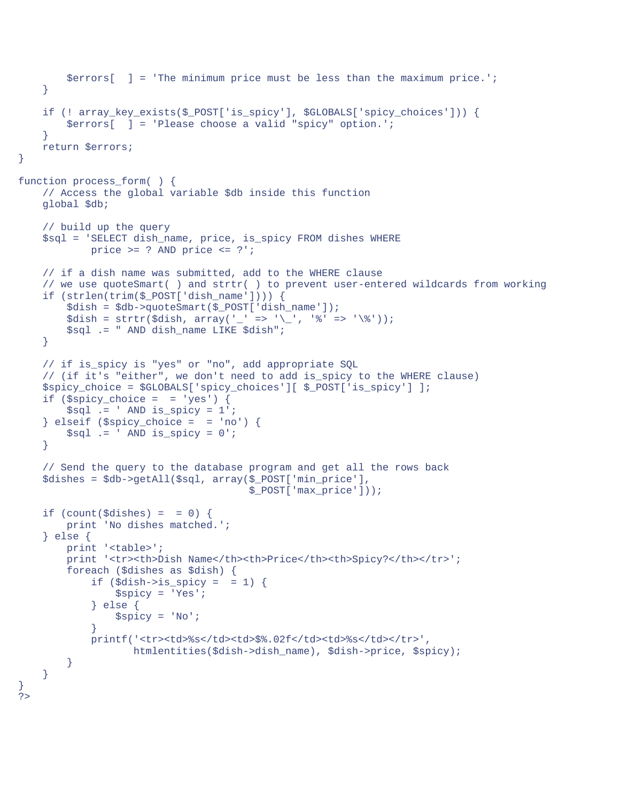```
 $errors[ ] = 'The minimum price must be less than the maximum price.'; 
     } 
     if (! array_key_exists($_POST['is_spicy'], $GLOBALS['spicy_choices'])) { 
         $errors[ ] = 'Please choose a valid "spicy" option.'; 
     } 
     return $errors; 
} 
function process_form( ) { 
     // Access the global variable $db inside this function 
     global $db; 
     // build up the query 
     $sql = 'SELECT dish_name, price, is_spicy FROM dishes WHERE 
             price >= ? AND price <= ?'; 
     // if a dish name was submitted, add to the WHERE clause 
     // we use quoteSmart( ) and strtr( ) to prevent user-entered wildcards from working 
     if (strlen(trim($_POST['dish_name']))) { 
         $dish = $db->quoteSmart($_POST['dish_name']); 
        $disk = strtr({$disk, array('_ ' = > ' \_ ', ' % ' = > ' \*, ' )}; $sql .= " AND dish_name LIKE $dish"; 
     } 
     // if is_spicy is "yes" or "no", add appropriate SQL 
    // (if it's "either", we don't need to add is spicy to the WHERE clause)
     $spicy_choice = $GLOBALS['spicy_choices'][ $_POST['is_spicy'] ]; 
    if (\frac{1}{2} \text{spicy\_choice} = -\frac{1}{2} \text{yes'}) {
         $sql .= ' AND is_spicy = 1'; 
     } elseif ($spicy_choice = = 'no') { 
         $sql .= ' AND is_spicy = 0'; 
     } 
     // Send the query to the database program and get all the rows back 
     $dishes = $db->getAll($sql, array($_POST['min_price'], 
                                          $_POST['max_price'])); 
    if (count(\text{Sdishes}) = 0) {
         print 'No dishes matched.'; 
     } else { 
         print '<table>'; 
         print '<tr><th>Dish Name</th><th>Price</th><th>Spicy?</th></tr>'; 
         foreach ($dishes as $dish) { 
             if (\text{5dish->is\_spicy = = 1}) {
                  $spicy = 'Yes'; 
              } else { 
                  $spicy = 'No'; 
 } 
            printf('<tr><td>%s</td><td>$%.02f</td><td>%s</td></tr>',
                     htmlentities($dish->dish_name), $dish->price, $spicy); 
         } 
     } 
} 
?>
```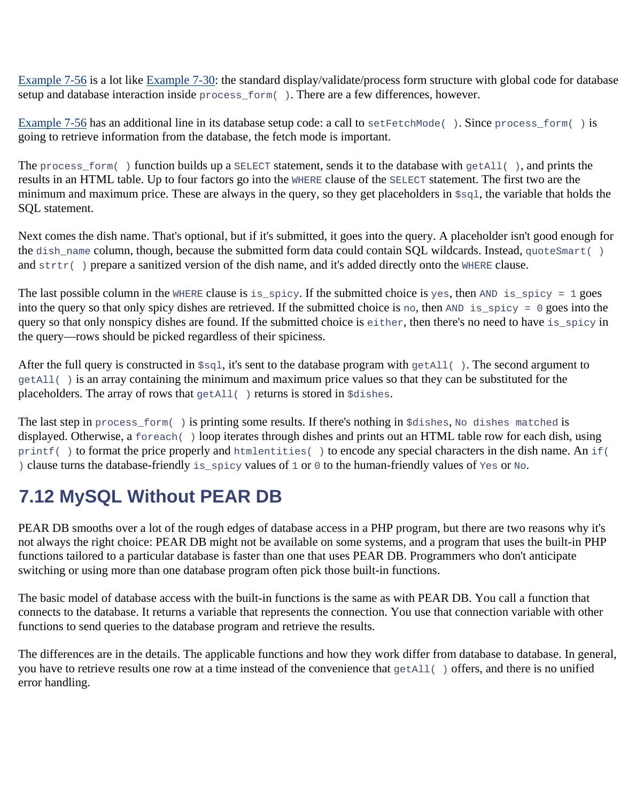Example 7-56 is a lot like Example 7-30: the standard display/validate/process form structure with global code for database setup and database interaction inside process\_form(). There are a few differences, however.

Example 7-56 has an additional line in its database setup code: a call to setFetchMode(). Since process\_form() is going to retrieve information from the database, the fetch mode is important.

The process\_form( ) function builds up a SELECT statement, sends it to the database with getAll( ), and prints the results in an HTML table. Up to four factors go into the WHERE clause of the SELECT statement. The first two are the minimum and maximum price. These are always in the query, so they get placeholders in  $\frac{1}{5}$  sql, the variable that holds the SQL statement.

Next comes the dish name. That's optional, but if it's submitted, it goes into the query. A placeholder isn't good enough for the dish\_name column, though, because the submitted form data could contain SQL wildcards. Instead, quoteSmart() and strtr() prepare a sanitized version of the dish name, and it's added directly onto the WHERE clause.

The last possible column in the WHERE clause is  $is\_spicy.$  If the submitted choice is yes, then AND  $is\_spicy = 1$  goes into the query so that only spicy dishes are retrieved. If the submitted choice is no, then AND is spicy = 0 goes into the query so that only nonspicy dishes are found. If the submitted choice is either, then there's no need to have is\_spicy in the query—rows should be picked regardless of their spiciness.

After the full query is constructed in  $\epsilon_{\text{sq1}}$ , it's sent to the database program with  $\epsilon_{\text{getAll}}$  ). The second argument to getAll( ) is an array containing the minimum and maximum price values so that they can be substituted for the placeholders. The array of rows that  $qetAll( )$  returns is stored in  $\frac{1}{5}$ dishes.

The last step in process\_form() is printing some results. If there's nothing in \$dishes, No dishes matched is displayed. Otherwise, a foreach( ) loop iterates through dishes and prints out an HTML table row for each dish, using printf() to format the price properly and htmlentities() to encode any special characters in the dish name. An if( ) clause turns the database-friendly is spicy values of 1 or 0 to the human-friendly values of Yes or No.

# **7.12 MySQL Without PEAR DB**

PEAR DB smooths over a lot of the rough edges of database access in a PHP program, but there are two reasons why it's not always the right choice: PEAR DB might not be available on some systems, and a program that uses the built-in PHP functions tailored to a particular database is faster than one that uses PEAR DB. Programmers who don't anticipate switching or using more than one database program often pick those built-in functions.

The basic model of database access with the built-in functions is the same as with PEAR DB. You call a function that connects to the database. It returns a variable that represents the connection. You use that connection variable with other functions to send queries to the database program and retrieve the results.

The differences are in the details. The applicable functions and how they work differ from database to database. In general, you have to retrieve results one row at a time instead of the convenience that getAll( ) offers, and there is no unified error handling.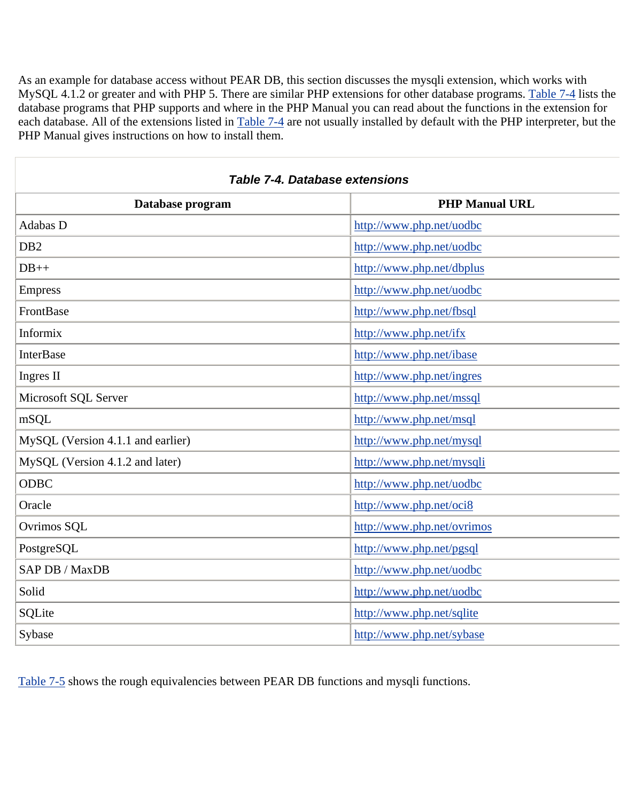As an example for database access without PEAR DB, this section discusses the mysqli extension, which works with MySQL 4.1.2 or greater and with PHP 5. There are similar PHP extensions for other database programs. Table 7-4 lists the database programs that PHP supports and where in the PHP Manual you can read about the functions in the extension for each database. All of the extensions listed in Table 7-4 are not usually installed by default with the PHP interpreter, but the PHP Manual gives instructions on how to install them.

| Table 7-4. Database extensions    |                            |  |  |  |  |
|-----------------------------------|----------------------------|--|--|--|--|
| Database program                  | <b>PHP Manual URL</b>      |  |  |  |  |
| Adabas D                          | http://www.php.net/uodbc   |  |  |  |  |
| DB <sub>2</sub>                   | http://www.php.net/uodbc   |  |  |  |  |
| $DB++$                            | http://www.php.net/dbplus  |  |  |  |  |
| <b>Empress</b>                    | http://www.php.net/uodbc   |  |  |  |  |
| FrontBase                         | http://www.php.net/fbsql   |  |  |  |  |
| Informix                          | http://www.php.net/ifx     |  |  |  |  |
| <b>InterBase</b>                  | http://www.php.net/ibase   |  |  |  |  |
| Ingres II                         | http://www.php.net/ingres  |  |  |  |  |
| Microsoft SQL Server              | http://www.php.net/mssql   |  |  |  |  |
| mSQL                              | http://www.php.net/msql    |  |  |  |  |
| MySQL (Version 4.1.1 and earlier) | http://www.php.net/mysql   |  |  |  |  |
| MySQL (Version 4.1.2 and later)   | http://www.php.net/mysqli  |  |  |  |  |
| <b>ODBC</b>                       | http://www.php.net/uodbc   |  |  |  |  |
| Oracle                            | http://www.php.net/oci8    |  |  |  |  |
| Ovrimos SQL                       | http://www.php.net/ovrimos |  |  |  |  |
| PostgreSQL                        | http://www.php.net/pgsql   |  |  |  |  |
| SAP DB / MaxDB                    | http://www.php.net/uodbc   |  |  |  |  |
| Solid                             | http://www.php.net/uodbc   |  |  |  |  |
| SQLite                            | http://www.php.net/sqlite  |  |  |  |  |
| Sybase                            | http://www.php.net/sybase  |  |  |  |  |

Table 7-5 shows the rough equivalencies between PEAR DB functions and mysqli functions.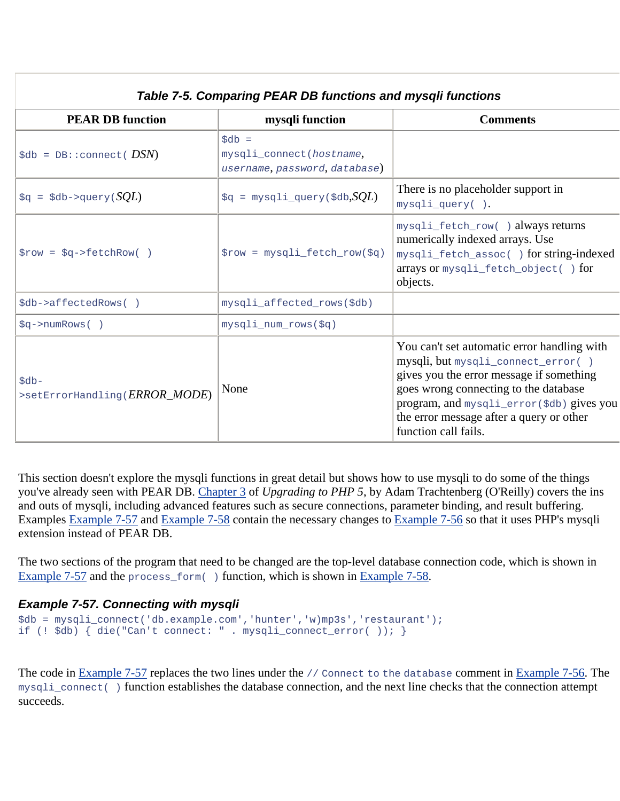| Table 7-5. Comparing PEAR DB functions and mysqll functions |                                                                             |                                                                                                                                                                                                                                                                                         |  |  |  |
|-------------------------------------------------------------|-----------------------------------------------------------------------------|-----------------------------------------------------------------------------------------------------------------------------------------------------------------------------------------------------------------------------------------------------------------------------------------|--|--|--|
| <b>PEAR DB</b> function                                     | mysqli function                                                             | <b>Comments</b>                                                                                                                                                                                                                                                                         |  |  |  |
| $\dots$ sdb = DB:: connect ( $DSN$ )                        | $\dagger$ db =<br>mysqli_connect(hostname,<br>username, password, database) |                                                                                                                                                                                                                                                                                         |  |  |  |
| $\Box q = \Diamond db \rightarrow query(SQL)$               | $\Box q$ = mysqli_query( $\Diamond db$ , $SQL$ )                            | There is no placeholder support in<br>mysqli_query().                                                                                                                                                                                                                                   |  |  |  |
| $$row = $q->fetchRow( )$                                    | $$row = mysgli_fetch_row({$q})$                                             | mysqli_fetch_row() always returns<br>numerically indexed arrays. Use<br>mysqli_fetch_assoc() for string-indexed<br>arrays or mysqli_fetch_object() for<br>objects.                                                                                                                      |  |  |  |
| \$db->affectedRows()                                        | mysqli_affected_rows(\$db)                                                  |                                                                                                                                                                                                                                                                                         |  |  |  |
| $\sqrt{q}$ ->numRows()                                      | mysqli_num_rows(\$q)                                                        |                                                                                                                                                                                                                                                                                         |  |  |  |
| $\dagger$ db-<br>>setErrorHandling( <i>ERROR_MODE</i> )     | None                                                                        | You can't set automatic error handling with<br>mysqli, but mysqli_connect_error()<br>gives you the error message if something<br>goes wrong connecting to the database<br>program, and mysqli_error(\$db) gives you<br>the error message after a query or other<br>function call fails. |  |  |  |

# *Table 7-5. Comparing PEAR DB functions and mysqli functions*

This section doesn't explore the mysqli functions in great detail but shows how to use mysqli to do some of the things you've already seen with PEAR DB. Chapter 3 of *Upgrading to PHP 5*, by Adam Trachtenberg (O'Reilly) covers the ins and outs of mysqli, including advanced features such as secure connections, parameter binding, and result buffering. Examples Example 7-57 and Example 7-58 contain the necessary changes to Example 7-56 so that it uses PHP's mysqli extension instead of PEAR DB.

The two sections of the program that need to be changed are the top-level database connection code, which is shown in Example 7-57 and the process\_form() function, which is shown in Example 7-58.

## *Example 7-57. Connecting with mysqli*

```
$db = mysqli_connect('db.example.com','hunter','w)mp3s','restaurant'); 
if (! $db) { die("Can't connect: " . mysqli_connect_error( )); }
```
The code in Example 7-57 replaces the two lines under the // Connect to the database comment in Example 7-56. The mysqli\_connect( ) function establishes the database connection, and the next line checks that the connection attempt succeeds.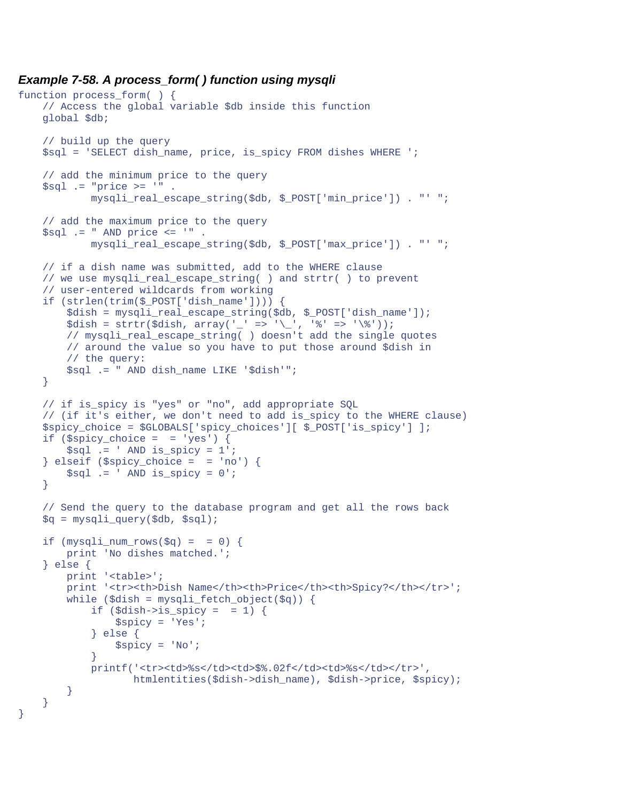#### *Example 7-58. A process\_form( ) function using mysqli*

}

```
function process_form( ) { 
     // Access the global variable $db inside this function 
     global $db; 
     // build up the query 
     $sql = 'SELECT dish_name, price, is_spicy FROM dishes WHERE '; 
     // add the minimum price to the query 
    $sq1 .= "price >= '".
             mysqli_real_escape_string($db, $_POST['min_price']) . "' "; 
     // add the maximum price to the query 
     $sql .= " AND price <= '" . 
             mysqli_real_escape_string($db, $_POST['max_price']) . "' "; 
     // if a dish name was submitted, add to the WHERE clause 
     // we use mysqli_real_escape_string( ) and strtr( ) to prevent 
     // user-entered wildcards from working 
     if (strlen(trim($_POST['dish_name']))) { 
         $dish = mysqli_real_escape_string($db, $_POST['dish_name']); 
        $disk = strtr ($disk, array('_ ' => '\\_ ', ' % ' => '\\ // mysqli_real_escape_string( ) doesn't add the single quotes 
         // around the value so you have to put those around $dish in 
         // the query: 
         $sql .= " AND dish_name LIKE '$dish'"; 
     } 
     // if is_spicy is "yes" or "no", add appropriate SQL 
     // (if it's either, we don't need to add is_spicy to the WHERE clause) 
     $spicy_choice = $GLOBALS['spicy_choices'][ $_POST['is_spicy'] ]; 
    if (\frac{1}{2} \text{spicy\_choice} = - \text{lyes'}) {
        $sql := ' AND is\_spicy = 1'; } elseif ($spicy_choice = = 'no') { 
         $sql .= ' AND is_spicy = 0'; 
     } 
     // Send the query to the database program and get all the rows back 
     $q = mysqli_query($db, $sql); 
    if (mysqli num rows(\zeta q) = = 0) {
         print 'No dishes matched.'; 
     } else { 
         print '<table>'; 
         print '<tr><th>Dish Name</th><th>Price</th><th>Spicy?</th></tr>'; 
        while (\daggerdish = mysqli_fetch_object(\xiq)) {
            if (\text{5dish->is\_spicy = = 1}) {
                  $spicy = 'Yes'; 
              } else { 
                  $spicy = 'No'; 
 } 
            printf('<tr><td>%s</td><td>$%.02f</td><td>%s</td></tr>',
                     htmlentities($dish->dish_name), $dish->price, $spicy); 
         } 
     }
```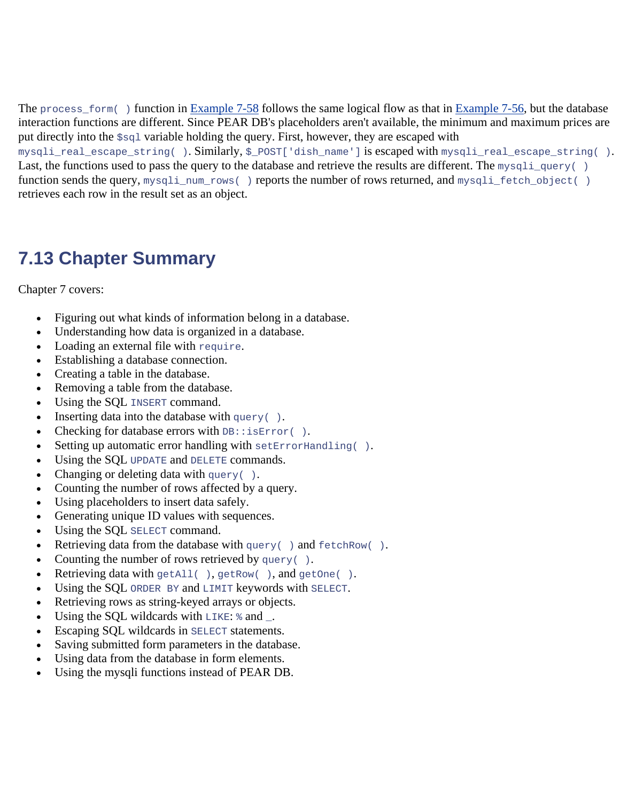The process\_form( ) function in Example 7-58 follows the same logical flow as that in Example 7-56, but the database interaction functions are different. Since PEAR DB's placeholders aren't available, the minimum and maximum prices are put directly into the \$sql variable holding the query. First, however, they are escaped with mysqli\_real\_escape\_string( ). Similarly, \$\_POST['dish\_name'] is escaped with mysqli\_real\_escape\_string( ). Last, the functions used to pass the query to the database and retrieve the results are different. The  $my\sqrt{1+q}$ function sends the query, mysqli\_num\_rows() reports the number of rows returned, and mysqli\_fetch\_object() retrieves each row in the result set as an object.

# **7.13 Chapter Summary**

Chapter 7 covers:

- Figuring out what kinds of information belong in a database.
- Understanding how data is organized in a database.
- Loading an external file with require.
- Establishing a database connection.
- Creating a table in the database.
- Removing a table from the database.
- Using the SQL INSERT command.
- Inserting data into the database with  $query( )$ .
- Checking for database errors with  $DB::\text{isError}( )$ .
- Setting up automatic error handling with setErrorHandling().
- Using the SOL UPDATE and DELETE commands.
- Changing or deleting data with  $query( )$ .
- Counting the number of rows affected by a query.
- Using placeholders to insert data safely.
- Generating unique ID values with sequences.
- Using the SOL SELECT command.
- Retrieving data from the database with query() and  $fectchRow($ ).
- Counting the number of rows retrieved by  $query( )$ .
- Retrieving data with getAll(), getRow(), and getOne().
- Using the SQL ORDER BY and LIMIT keywords with SELECT.
- Retrieving rows as string-keyed arrays or objects.
- Using the SQL wildcards with  $LIE:$  % and \_.
- Escaping SQL wildcards in SELECT statements.
- Saving submitted form parameters in the database.
- Using data from the database in form elements.
- Using the mysqli functions instead of PEAR DB.